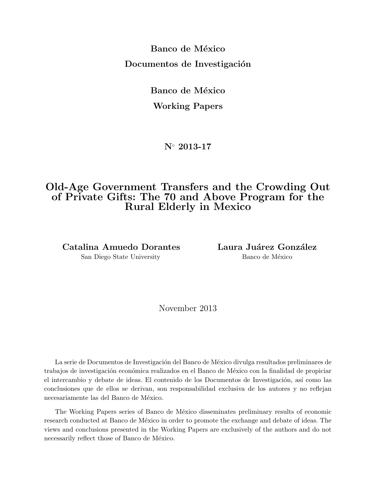**Banco de México Documentos de Investigación** 

> **Banco de México Working Papers**

> > **N***◦* **2013-17**

# **Old-Age Government Transfers and the Crowding Out of Private Gifts: The 70 and Above Program for the Rural Elderly in Mexico**

Catalina Amuedo Dorantes **Laura Juárez González** San Diego State University Banco de México

November 2013

La serie de Documentos de Investigación del Banco de México divulga resultados preliminares de trabajos de investigación económica realizados en el Banco de México con la finalidad de propiciar el intercambio y debate de ideas. El contenido de los Documentos de Investigación, así como las conclusiones que de ellos se derivan, son responsabilidad exclusiva de los autores y no reflejan necesariamente las del Banco de México.

The Working Papers series of Banco de México disseminates preliminary results of economic research conducted at Banco de México in order to promote the exchange and debate of ideas. The views and conclusions presented in the Working Papers are exclusively of the authors and do not necessarily reflect those of Banco de México.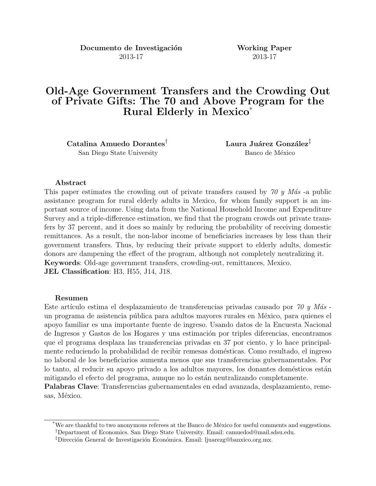**Documento de Investigación Working Paper** 2013-17 2013-17

# **Old-Age Government Transfers and the Crowding Out of Private Gifts: The 70 and Above Program for the Rural Elderly in Mexico**\*

**Catalina Amuedo Dorantes<sup>†</sup> Laura Juárez González<sup>‡</sup>** San Diego State University Banco de México

#### **Abstract**

This paper estimates the crowding out of private transfers caused by 70 y Más -a public assistance program for rural elderly adults in Mexico, for whom family support is an important source of income. Using data from the National Household Income and Expenditure Survey and a triple-difference estimation, we find that the program crowds out private transfers by 37 percent, and it does so mainly by reducing the probability of receiving domestic remittances. As a result, the non-labor income of beneficiaries increases by less than their government transfers. Thus, by reducing their private support to elderly adults, domestic donors are dampening the effect of the program, although not completely neutralizing it. **Keywords**: Old-age government transfers, crowding-out, remittances, Mexico. **JEL Classification**: H3, H55, J14, J18.

#### **Resumen**

Este artículo estima el desplazamiento de transferencias privadas causado por 70 y Más un programa de asistencia pública para adultos mayores rurales en México, para quienes el apoyo familiar es una importante fuente de ingreso. Usando datos de la Encuesta Nacional de Ingresos y Gastos de los Hogares y una estimación por triples diferencias, encontramos que el programa desplaza las transferencias privadas en 37 por ciento, y lo hace principalmente reduciendo la probabilidad de recibir remesas domésticas. Como resultado, el ingreso no laboral de los beneficiarios aumenta menos que sus transferencias gubernamentales. Por lo tanto, al reducir su apoyo privado a los adultos mayores, los donantes domésticos están mitigando el efecto del programa, aunque no lo están neutralizando completamente.

**Palabras Clave**: Transferencias gubernamentales en edad avanzada, desplazamiento, remesas, México.

We are thankful to two anonymous referees at the Banco de México for useful comments and suggestions. *†*Department of Economics. San Diego State University. Email: camuedod@mail.sdsu.edu.

<sup>&</sup>lt;sup>‡</sup>Dirección General de Investigación Económica. Email: ljuarezg@banxico.org.mx.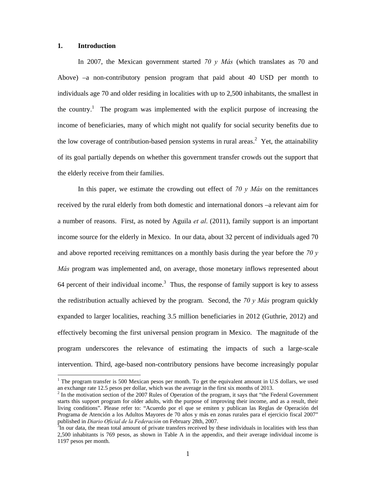#### **1. Introduction**

-

In 2007, the Mexican government started *70 y Más* (which translates as 70 and Above) –a non-contributory pension program that paid about 40 USD per month to individuals age 70 and older residing in localities with up to 2,500 inhabitants, the smallest in the country.<sup>1</sup> The program was implemented with the explicit purpose of increasing the income of beneficiaries, many of which might not qualify for social security benefits due to the low coverage of contribution-based pension systems in rural areas.<sup>2</sup> Yet, the attainability of its goal partially depends on whether this government transfer crowds out the support that the elderly receive from their families.

In this paper, we estimate the crowding out effect of *70 y Más* on the remittances received by the rural elderly from both domestic and international donors –a relevant aim for a number of reasons. First, as noted by Aguila *et al*. (2011), family support is an important income source for the elderly in Mexico. In our data, about 32 percent of individuals aged 70 and above reported receiving remittances on a monthly basis during the year before the *70 y Más* program was implemented and, on average, those monetary inflows represented about 64 percent of their individual income.<sup>3</sup> Thus, the response of family support is key to assess the redistribution actually achieved by the program. Second, the *70 y Más* program quickly expanded to larger localities, reaching 3.5 million beneficiaries in 2012 (Guthrie, 2012) and effectively becoming the first universal pension program in Mexico. The magnitude of the program underscores the relevance of estimating the impacts of such a large-scale intervention. Third, age-based non-contributory pensions have become increasingly popular

 $1$  The program transfer is 500 Mexican pesos per month. To get the equivalent amount in U.S dollars, we used an exchange rate 12.5 pesos per dollar, which was the average in the first six months of 2013.

<sup>2</sup> In the motivation section of the 2007 Rules of Operation of the program, it says that "the Federal Government starts this support program for older adults, with the purpose of improving their income, and as a result, their living conditions". Please refer to: "Acuerdo por el que se emiten y publican las Reglas de Operación del Programa de Atención a los Adultos Mayores de 70 años y más en zonas rurales para el ejercicio fiscal 2007" published in *Diario Oficial de la Federación* on February 28th, 2007. 3

 ${}^{3}$ In our data, the mean total amount of private transfers received by these individuals in localities with less than 2,500 inhabitants is 769 pesos, as shown in Table A in the appendix, and their average individual income is 1197 pesos per month.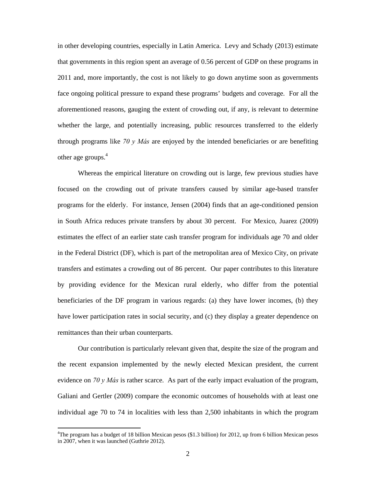in other developing countries, especially in Latin America. Levy and Schady (2013) estimate that governments in this region spent an average of 0.56 percent of GDP on these programs in 2011 and, more importantly, the cost is not likely to go down anytime soon as governments face ongoing political pressure to expand these programs' budgets and coverage. For all the aforementioned reasons, gauging the extent of crowding out, if any, is relevant to determine whether the large, and potentially increasing, public resources transferred to the elderly through programs like *70 y Más* are enjoyed by the intended beneficiaries or are benefiting other age groups.<sup>4</sup>

Whereas the empirical literature on crowding out is large, few previous studies have focused on the crowding out of private transfers caused by similar age-based transfer programs for the elderly. For instance, Jensen (2004) finds that an age-conditioned pension in South Africa reduces private transfers by about 30 percent. For Mexico, Juarez (2009) estimates the effect of an earlier state cash transfer program for individuals age 70 and older in the Federal District (DF), which is part of the metropolitan area of Mexico City, on private transfers and estimates a crowding out of 86 percent. Our paper contributes to this literature by providing evidence for the Mexican rural elderly, who differ from the potential beneficiaries of the DF program in various regards: (a) they have lower incomes, (b) they have lower participation rates in social security, and (c) they display a greater dependence on remittances than their urban counterparts.

Our contribution is particularly relevant given that, despite the size of the program and the recent expansion implemented by the newly elected Mexican president, the current evidence on *70 y Más* is rather scarce. As part of the early impact evaluation of the program, Galiani and Gertler (2009) compare the economic outcomes of households with at least one individual age 70 to 74 in localities with less than 2,500 inhabitants in which the program

<sup>&</sup>lt;sup>4</sup>The program has a budget of 18 billion Mexican pesos (\$1.3 billion) for 2012, up from 6 billion Mexican pesos in 2007, when it was launched (Guthrie 2012).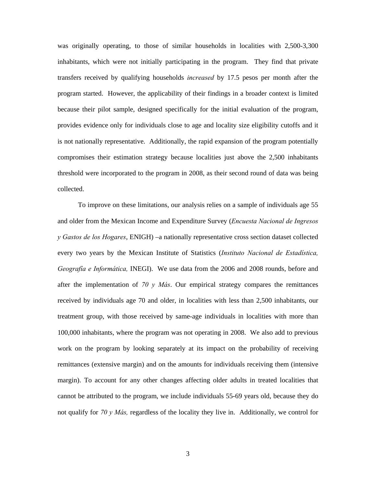was originally operating, to those of similar households in localities with 2,500-3,300 inhabitants, which were not initially participating in the program. They find that private transfers received by qualifying households *increased* by 17.5 pesos per month after the program started. However, the applicability of their findings in a broader context is limited because their pilot sample, designed specifically for the initial evaluation of the program, provides evidence only for individuals close to age and locality size eligibility cutoffs and it is not nationally representative. Additionally, the rapid expansion of the program potentially compromises their estimation strategy because localities just above the 2,500 inhabitants threshold were incorporated to the program in 2008, as their second round of data was being collected.

To improve on these limitations, our analysis relies on a sample of individuals age 55 and older from the Mexican Income and Expenditure Survey (*Encuesta Nacional de Ingresos y Gastos de los Hogares*, ENIGH) –a nationally representative cross section dataset collected every two years by the Mexican Institute of Statistics (*Instituto Nacional de Estadística, Geografía e Informática,* INEGI). We use data from the 2006 and 2008 rounds, before and after the implementation of  $70 \text{ y}$  *Más*. Our empirical strategy compares the remittances received by individuals age 70 and older, in localities with less than 2,500 inhabitants, our treatment group, with those received by same-age individuals in localities with more than 100,000 inhabitants, where the program was not operating in 2008. We also add to previous work on the program by looking separately at its impact on the probability of receiving remittances (extensive margin) and on the amounts for individuals receiving them (intensive margin). To account for any other changes affecting older adults in treated localities that cannot be attributed to the program, we include individuals 55-69 years old, because they do not qualify for *70 y Más,* regardless of the locality they live in. Additionally, we control for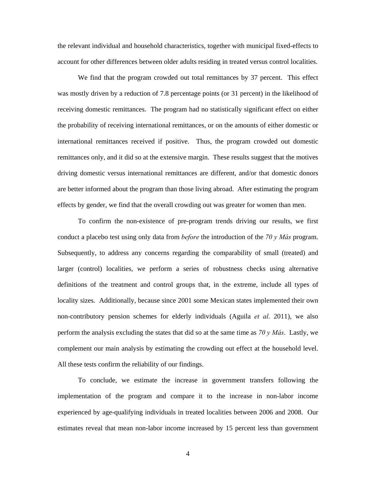the relevant individual and household characteristics, together with municipal fixed-effects to account for other differences between older adults residing in treated versus control localities.

We find that the program crowded out total remittances by 37 percent. This effect was mostly driven by a reduction of 7.8 percentage points (or 31 percent) in the likelihood of receiving domestic remittances. The program had no statistically significant effect on either the probability of receiving international remittances, or on the amounts of either domestic or international remittances received if positive. Thus, the program crowded out domestic remittances only, and it did so at the extensive margin. These results suggest that the motives driving domestic versus international remittances are different, and/or that domestic donors are better informed about the program than those living abroad. After estimating the program effects by gender, we find that the overall crowding out was greater for women than men.

To confirm the non-existence of pre-program trends driving our results, we first conduct a placebo test using only data from *before* the introduction of the *70 y Más* program. Subsequently, to address any concerns regarding the comparability of small (treated) and larger (control) localities, we perform a series of robustness checks using alternative definitions of the treatment and control groups that, in the extreme, include all types of locality sizes. Additionally, because since 2001 some Mexican states implemented their own non-contributory pension schemes for elderly individuals (Aguila *et al*. 2011), we also perform the analysis excluding the states that did so at the same time as *70 y Más*. Lastly, we complement our main analysis by estimating the crowding out effect at the household level. All these tests confirm the reliability of our findings.

To conclude, we estimate the increase in government transfers following the implementation of the program and compare it to the increase in non-labor income experienced by age-qualifying individuals in treated localities between 2006 and 2008. Our estimates reveal that mean non-labor income increased by 15 percent less than government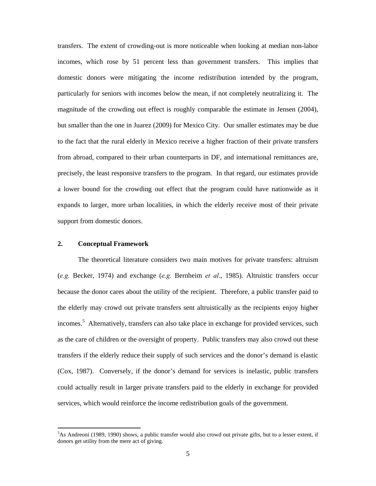transfers. The extent of crowding-out is more noticeable when looking at median non-labor incomes, which rose by 51 percent less than government transfers. This implies that domestic donors were mitigating the income redistribution intended by the program, particularly for seniors with incomes below the mean, if not completely neutralizing it. The magnitude of the crowding out effect is roughly comparable the estimate in Jensen (2004), but smaller than the one in Juarez (2009) for Mexico City. Our smaller estimates may be due to the fact that the rural elderly in Mexico receive a higher fraction of their private transfers from abroad, compared to their urban counterparts in DF, and international remittances are, precisely, the least responsive transfers to the program. In that regard, our estimates provide a lower bound for the crowding out effect that the program could have nationwide as it expands to larger, more urban localities, in which the elderly receive most of their private support from domestic donors.

#### **2. Conceptual Framework**

-

 The theoretical literature considers two main motives for private transfers: altruism (*e.g.* Becker, 1974) and exchange (*e.g.* Bernheim *et al*., 1985). Altruistic transfers occur because the donor cares about the utility of the recipient. Therefore, a public transfer paid to the elderly may crowd out private transfers sent altruistically as the recipients enjoy higher incomes.<sup>5</sup> Alternatively, transfers can also take place in exchange for provided services, such as the care of children or the oversight of property. Public transfers may also crowd out these transfers if the elderly reduce their supply of such services and the donor's demand is elastic (Cox, 1987). Conversely, if the donor's demand for services is inelastic, public transfers could actually result in larger private transfers paid to the elderly in exchange for provided services, which would reinforce the income redistribution goals of the government.

<sup>&</sup>lt;sup>5</sup>As Andreoni (1989, 1990) shows, a public transfer would also crowd out private gifts, but to a lesser extent, if donors get utility from the mere act of giving.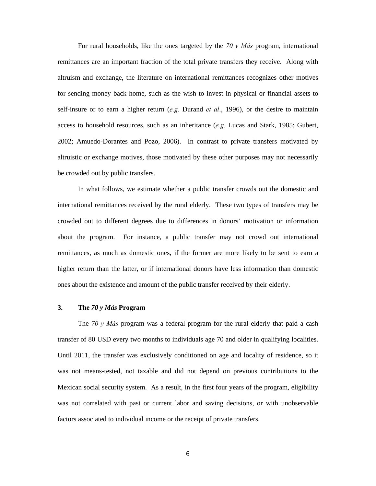For rural households, like the ones targeted by the *70 y Más* program, international remittances are an important fraction of the total private transfers they receive. Along with altruism and exchange, the literature on international remittances recognizes other motives for sending money back home, such as the wish to invest in physical or financial assets to self-insure or to earn a higher return (*e.g.* Durand *et al*., 1996), or the desire to maintain access to household resources, such as an inheritance (*e.g.* Lucas and Stark, 1985; Gubert, 2002; Amuedo-Dorantes and Pozo, 2006). In contrast to private transfers motivated by altruistic or exchange motives, those motivated by these other purposes may not necessarily be crowded out by public transfers.

In what follows, we estimate whether a public transfer crowds out the domestic and international remittances received by the rural elderly. These two types of transfers may be crowded out to different degrees due to differences in donors' motivation or information about the program. For instance, a public transfer may not crowd out international remittances, as much as domestic ones, if the former are more likely to be sent to earn a higher return than the latter, or if international donors have less information than domestic ones about the existence and amount of the public transfer received by their elderly.

#### **3. The** *70 y Más* **Program**

The *70 y Más* program was a federal program for the rural elderly that paid a cash transfer of 80 USD every two months to individuals age 70 and older in qualifying localities. Until 2011, the transfer was exclusively conditioned on age and locality of residence, so it was not means-tested, not taxable and did not depend on previous contributions to the Mexican social security system. As a result, in the first four years of the program, eligibility was not correlated with past or current labor and saving decisions, or with unobservable factors associated to individual income or the receipt of private transfers.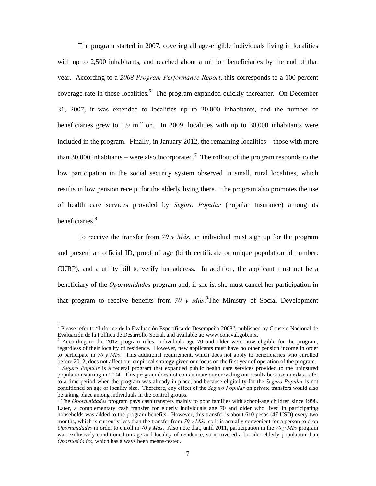The program started in 2007, covering all age-eligible individuals living in localities with up to 2,500 inhabitants, and reached about a million beneficiaries by the end of that year. According to a *2008 Program Performance Report*, this corresponds to a 100 percent coverage rate in those localities.<sup>6</sup> The program expanded quickly thereafter. On December 31, 2007, it was extended to localities up to 20,000 inhabitants, and the number of beneficiaries grew to 1.9 million. In 2009, localities with up to 30,000 inhabitants were included in the program. Finally, in January 2012, the remaining localities – those with more than 30,000 inhabitants – were also incorporated.<sup>7</sup> The rollout of the program responds to the low participation in the social security system observed in small, rural localities, which results in low pension receipt for the elderly living there. The program also promotes the use of health care services provided by *Seguro Popular* (Popular Insurance) among its beneficiaries.<sup>8</sup>

To receive the transfer from *70 y Más*, an individual must sign up for the program and present an official ID, proof of age (birth certificate or unique population id number: CURP), and a utility bill to verify her address. In addition, the applicant must not be a beneficiary of the *Oportunidades* program and, if she is, she must cancel her participation in that program to receive benefits from  $70 y M\text{a}$ s.<sup>9</sup>The Ministry of Social Development

<sup>&</sup>lt;sup>6</sup> Please refer to "Informe de la Evaluación Específica de Desempeño 2008", published by Consejo Nacional de Evaluación de la Política de Desarrollo Social, and available at: www.coneval.gob.mx.

<sup>7</sup> According to the 2012 program rules, individuals age 70 and older were now eligible for the program, regardless of their locality of residence. However, new applicants must have no other pension income in order to participate in *70 y Más*. This additional requirement, which does not apply to beneficiaries who enrolled before 2012, does not affect our empirical strategy given our focus on the first year of operation of the program.

<sup>&</sup>lt;sup>8</sup> Seguro Popular is a federal program that expanded public health care services provided to the uninsured population starting in 2004. This program does not contaminate our crowding out results because our data refer to a time period when the program was already in place, and because eligibility for the *Seguro Popular* is not conditioned on age or locality size. Therefore, any effect of the *Seguro Popular* on private transfers would also be taking place among individuals in the control groups.

<sup>&</sup>lt;sup>9</sup> The *Oportunidades* program pays cash transfers mainly to poor families with school-age children since 1998. Later, a complementary cash transfer for elderly individuals age 70 and older who lived in participating households was added to the program benefits. However, this transfer is about 610 pesos (47 USD) every two months, which is currently less than the transfer from *70 y Más*, so it is actually convenient for a person to drop *Oportunidades* in order to enroll in *70 y Mas*. Also note that, until 2011, participation in the *70 y Más* program was exclusively conditioned on age and locality of residence, so it covered a broader elderly population than *Oportunidades*, which has always been means-tested.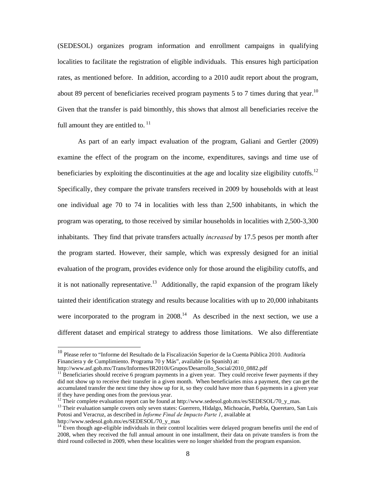(SEDESOL) organizes program information and enrollment campaigns in qualifying localities to facilitate the registration of eligible individuals. This ensures high participation rates, as mentioned before. In addition, according to a 2010 audit report about the program, about 89 percent of beneficiaries received program payments 5 to 7 times during that year.<sup>10</sup> Given that the transfer is paid bimonthly, this shows that almost all beneficiaries receive the full amount they are entitled to.  $11$ 

As part of an early impact evaluation of the program, Galiani and Gertler (2009) examine the effect of the program on the income, expenditures, savings and time use of beneficiaries by exploiting the discontinuities at the age and locality size eligibility cutoffs.<sup>12</sup> Specifically, they compare the private transfers received in 2009 by households with at least one individual age 70 to 74 in localities with less than 2,500 inhabitants, in which the program was operating, to those received by similar households in localities with 2,500-3,300 inhabitants. They find that private transfers actually *increased* by 17.5 pesos per month after the program started. However, their sample, which was expressly designed for an initial evaluation of the program, provides evidence only for those around the eligibility cutoffs, and it is not nationally representative.<sup>13</sup> Additionally, the rapid expansion of the program likely tainted their identification strategy and results because localities with up to 20,000 inhabitants were incorporated to the program in  $2008<sup>14</sup>$  As described in the next section, we use a different dataset and empirical strategy to address those limitations. We also differentiate

<sup>&</sup>lt;sup>10</sup> Please refer to "Informe del Resultado de la Fiscalización Superior de la Cuenta Pública 2010. Auditoría Financiera y de Cumplimiento. Programa 70 y Más", available (in Spanish) at:<br>http://www.asf.gob.mx/Trans/Informes/IR2010i/Grupos/Desarrollo Social/2010\_0882.pdf

 $11$  Beneficiaries should receive 6 program payments in a given year. They could receive fewer payments if they did not show up to receive their transfer in a given month. When beneficiaries miss a payment, they can get the accumulated transfer the next time they show up for it, so they could have more than 6 payments in a given year if they have pending ones from the previous year.

<sup>&</sup>lt;sup>12</sup> Their complete evaluation report can be found at http://www.sedesol.gob.mx/es/SEDESOL/70\_y\_mas.

<sup>&</sup>lt;sup>13</sup> Their evaluation sample covers only seven states: Guerrero, Hidalgo, Michoacán, Puebla, Queretaro, San Luis Potosi and Veracruz, as described in *Informe Final de Impacto Parte 1*, available at http://www.sedesol.gob.mx/es/SEDESOL/70\_y\_mas

 $14$  Even though age-eligible individuals in their control localities were delayed program benefits until the end of 2008, when they received the full annual amount in one installment, their data on private transfers is from the third round collected in 2009, when these localities were no longer shielded from the program expansion.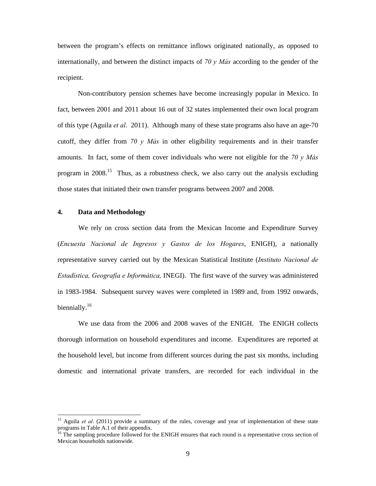between the program's effects on remittance inflows originated nationally, as opposed to internationally, and between the distinct impacts of *70 y Más* according to the gender of the recipient.

Non-contributory pension schemes have become increasingly popular in Mexico. In fact, between 2001 and 2011 about 16 out of 32 states implemented their own local program of this type (Aguila *et al*. 2011). Although many of these state programs also have an age-70 cutoff, they differ from *70 y Más* in other eligibility requirements and in their transfer amounts. In fact, some of them cover individuals who were not eligible for the *70 y Más* program in  $2008$ <sup>15</sup>. Thus, as a robustness check, we also carry out the analysis excluding those states that initiated their own transfer programs between 2007 and 2008.

# **4. Data and Methodology**

-

We rely on cross section data from the Mexican Income and Expenditure Survey (*Encuesta Nacional de Ingresos y Gastos de los Hogares*, ENIGH), a nationally representative survey carried out by the Mexican Statistical Institute (*Instituto Nacional de Estadística, Geografía e Informática,* INEGI). The first wave of the survey was administered in 1983-1984. Subsequent survey waves were completed in 1989 and, from 1992 onwards, biennially.<sup>16</sup>

We use data from the 2006 and 2008 waves of the ENIGH. The ENIGH collects thorough information on household expenditures and income. Expenditures are reported at the household level, but income from different sources during the past six months, including domestic and international private transfers, are recorded for each individual in the

<sup>&</sup>lt;sup>15</sup> Aguila *et al.* (2011) provide a summary of the rules, coverage and year of implementation of these state programs in Table A.1 of their appendix.

<sup>&</sup>lt;sup>16</sup> The sampling procedure followed for the ENIGH ensures that each round is a representative cross section of Mexican households nationwide.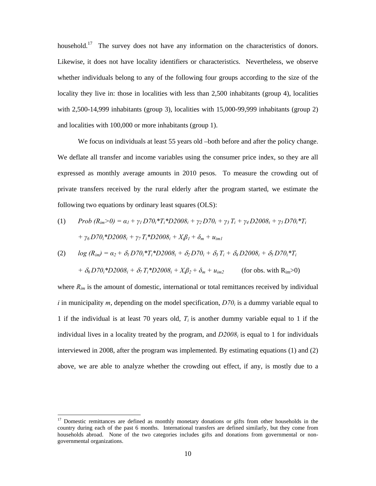household.<sup>17</sup> The survey does not have any information on the characteristics of donors. Likewise, it does not have locality identifiers or characteristics. Nevertheless, we observe whether individuals belong to any of the following four groups according to the size of the locality they live in: those in localities with less than 2,500 inhabitants (group 4), localities with 2,500-14,999 inhabitants (group 3), localities with 15,000-99,999 inhabitants (group 2) and localities with 100,000 or more inhabitants (group 1).

We focus on individuals at least 55 years old –both before and after the policy change. We deflate all transfer and income variables using the consumer price index, so they are all expressed as monthly average amounts in 2010 pesos. To measure the crowding out of private transfers received by the rural elderly after the program started, we estimate the following two equations by ordinary least squares (OLS):

(1) 
$$
Prob (R_{im} > 0) = \alpha_1 + \gamma_1 D70_i * T_i * D2008_i + \gamma_2 D70_i + \gamma_3 T_i + \gamma_4 D2008_i + \gamma_5 D70_i * T_i
$$

$$
+ \gamma_6 D70_i * D2008_i + \gamma_7 T_i * D2008_i + X_i \beta_1 + \delta_m + u_{im1}
$$

(2) 
$$
log (R_{im}) = \alpha_2 + \delta_1 D70_i^* T_i^* D2008_i + \delta_2 D70_i + \delta_3 T_i + \delta_4 D2008_i + \delta_5 D70_i^* T_i
$$

$$
+ \delta_6 D70_i^* D2008_i + \delta_7 T_i^* D2008_i + X_i \beta_2 + \delta_m + u_{im2}
$$
 (for obs. with R<sub>im</sub>>0)

where  $R_{im}$  is the amount of domestic, international or total remittances received by individual *i* in municipality *m*, depending on the model specification,  $D70<sub>i</sub>$  is a dummy variable equal to 1 if the individual is at least 70 years old,  $T_i$  is another dummy variable equal to 1 if the individual lives in a locality treated by the program, and  $D2008<sub>i</sub>$  is equal to 1 for individuals interviewed in 2008, after the program was implemented. By estimating equations (1) and (2) above, we are able to analyze whether the crowding out effect, if any, is mostly due to a

<sup>&</sup>lt;sup>17</sup> Domestic remittances are defined as monthly monetary donations or gifts from other households in the country during each of the past 6 months. International transfers are defined similarly, but they come from households abroad. None of the two categories includes gifts and donations from governmental or nongovernmental organizations.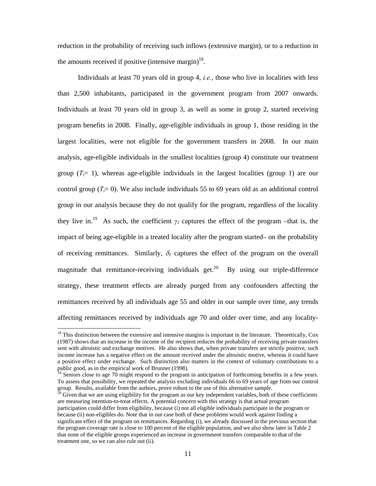reduction in the probability of receiving such inflows (extensive margin), or to a reduction in the amounts received if positive (intensive margin) $18$ .

Individuals at least 70 years old in group 4, *i.e.*, those who live in localities with less than 2,500 inhabitants, participated in the government program from 2007 onwards. Individuals at least 70 years old in group 3, as well as some in group 2, started receiving program benefits in 2008. Finally, age-eligible individuals in group 1, those residing in the largest localities, were not eligible for the government transfers in 2008. In our main analysis, age-eligible individuals in the smallest localities (group 4) constitute our treatment group  $(T_i=1)$ , whereas age-eligible individuals in the largest localities (group 1) are our control group  $(T_i= 0)$ . We also include individuals 55 to 69 years old as an additional control group in our analysis because they do not qualify for the program, regardless of the locality they live in.<sup>19</sup> As such, the coefficient  $\gamma_l$  captures the effect of the program –that is, the impact of being age-eligible in a treated locality after the program started– on the probability of receiving remittances. Similarly,  $\delta_l$  captures the effect of the program on the overall magnitude that remittance-receiving individuals get.<sup>20</sup> By using our triple-difference strategy, these treatment effects are already purged from any confounders affecting the remittances received by all individuals age 55 and older in our sample over time, any trends affecting remittances received by individuals age 70 and older over time, and any locality-

 $18$  This distinction between the extensive and intensive margins is important in the literature. Theoretically, Cox (1987) shows that an increase in the income of the recipient reduces the probability of receiving private transfers sent with altruistic and exchange motives. He also shows that, when private transfers are strictly positive, such income increase has a negative effect on the amount received under the altruistic motive, whereas it could have a positive effect under exchange. Such distinction also matters in the context of voluntary contributions to a public good, as in the empirical work of Brunner (1998).

 $19$  Seniors close to age 70 might respond to the program in anticipation of forthcoming benefits in a few years. To assess that possibility, we repeated the analysis excluding individuals 66 to 69 years of age from our control group. Results, available from the authors, prove robust to the use of this alternative sample.<br><sup>20</sup> Given that we are using eligibility for the program as our key independent variables, both of these coefficients

are measuring intention-to-treat effects. A potential concern with this strategy is that actual program participation could differ from eligibility, because (i) not all eligible individuals participate in the program or because (ii) non-eligibles do. Note that in our case both of these problems would work against finding a significant effect of the program on remittances. Regarding (i), we already discussed in the previous section that the program coverage rate is close to 100 percent of the eligible population, and we also show later in Table 2 that none of the eligible groups experienced an increase in government transfers comparable to that of the treatment one, so we can also rule out (ii).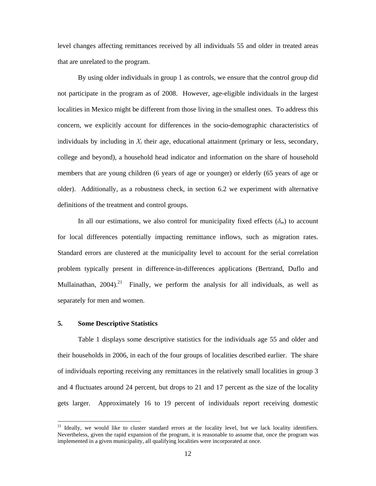level changes affecting remittances received by all individuals 55 and older in treated areas that are unrelated to the program.

By using older individuals in group 1 as controls, we ensure that the control group did not participate in the program as of 2008. However, age-eligible individuals in the largest localities in Mexico might be different from those living in the smallest ones. To address this concern, we explicitly account for differences in the socio-demographic characteristics of individuals by including in  $X_i$  their age, educational attainment (primary or less, secondary, college and beyond), a household head indicator and information on the share of household members that are young children (6 years of age or younger) or elderly (65 years of age or older). Additionally, as a robustness check, in section 6.2 we experiment with alternative definitions of the treatment and control groups.

In all our estimations, we also control for municipality fixed effects  $(\delta_m)$  to account for local differences potentially impacting remittance inflows, such as migration rates. Standard errors are clustered at the municipality level to account for the serial correlation problem typically present in difference-in-differences applications (Bertrand, Duflo and Mullainathan,  $2004$ <sup>21</sup> Finally, we perform the analysis for all individuals, as well as separately for men and women.

#### **5. Some Descriptive Statistics**

-

Table 1 displays some descriptive statistics for the individuals age 55 and older and their households in 2006, in each of the four groups of localities described earlier. The share of individuals reporting receiving any remittances in the relatively small localities in group 3 and 4 fluctuates around 24 percent, but drops to 21 and 17 percent as the size of the locality gets larger. Approximately 16 to 19 percent of individuals report receiving domestic

<sup>&</sup>lt;sup>21</sup> Ideally, we would like to cluster standard errors at the locality level, but we lack locality identifiers. Nevertheless, given the rapid expansion of the program, it is reasonable to assume that, once the program was implemented in a given municipality, all qualifying localities were incorporated at once.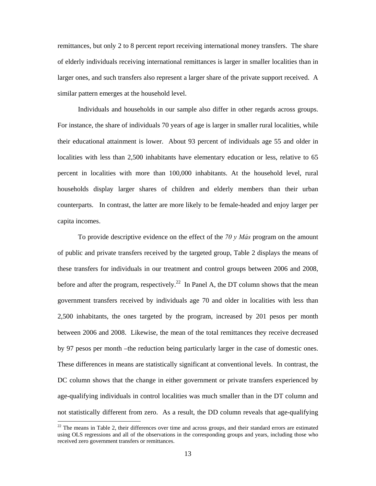remittances, but only 2 to 8 percent report receiving international money transfers. The share of elderly individuals receiving international remittances is larger in smaller localities than in larger ones, and such transfers also represent a larger share of the private support received. A similar pattern emerges at the household level.

Individuals and households in our sample also differ in other regards across groups. For instance, the share of individuals 70 years of age is larger in smaller rural localities, while their educational attainment is lower. About 93 percent of individuals age 55 and older in localities with less than 2,500 inhabitants have elementary education or less, relative to 65 percent in localities with more than 100,000 inhabitants. At the household level, rural households display larger shares of children and elderly members than their urban counterparts. In contrast, the latter are more likely to be female-headed and enjoy larger per capita incomes.

 To provide descriptive evidence on the effect of the *70 y Más* program on the amount of public and private transfers received by the targeted group, Table 2 displays the means of these transfers for individuals in our treatment and control groups between 2006 and 2008, before and after the program, respectively.<sup>22</sup> In Panel A, the DT column shows that the mean government transfers received by individuals age 70 and older in localities with less than 2,500 inhabitants, the ones targeted by the program, increased by 201 pesos per month between 2006 and 2008. Likewise, the mean of the total remittances they receive decreased by 97 pesos per month –the reduction being particularly larger in the case of domestic ones. These differences in means are statistically significant at conventional levels. In contrast, the DC column shows that the change in either government or private transfers experienced by age-qualifying individuals in control localities was much smaller than in the DT column and not statistically different from zero. As a result, the DD column reveals that age-qualifying

 $22$  The means in Table 2, their differences over time and across groups, and their standard errors are estimated using OLS regressions and all of the observations in the corresponding groups and years, including those who received zero government transfers or remittances.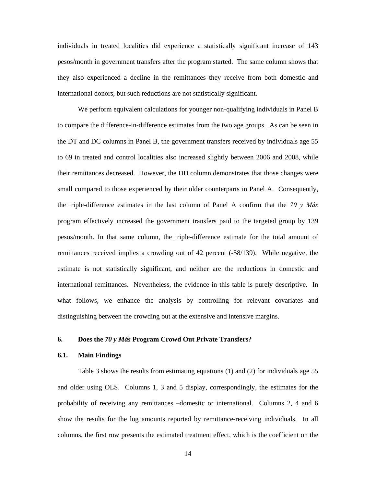individuals in treated localities did experience a statistically significant increase of 143 pesos/month in government transfers after the program started. The same column shows that they also experienced a decline in the remittances they receive from both domestic and international donors, but such reductions are not statistically significant.

We perform equivalent calculations for younger non-qualifying individuals in Panel B to compare the difference-in-difference estimates from the two age groups. As can be seen in the DT and DC columns in Panel B, the government transfers received by individuals age 55 to 69 in treated and control localities also increased slightly between 2006 and 2008, while their remittances decreased. However, the DD column demonstrates that those changes were small compared to those experienced by their older counterparts in Panel A. Consequently, the triple-difference estimates in the last column of Panel A confirm that the *70 y Más*  program effectively increased the government transfers paid to the targeted group by 139 pesos/month. In that same column, the triple-difference estimate for the total amount of remittances received implies a crowding out of 42 percent (-58/139). While negative, the estimate is not statistically significant, and neither are the reductions in domestic and international remittances. Nevertheless, the evidence in this table is purely descriptive. In what follows, we enhance the analysis by controlling for relevant covariates and distinguishing between the crowding out at the extensive and intensive margins.

#### **6. Does the** *70 y Más* **Program Crowd Out Private Transfers?**

### **6.1. Main Findings**

Table 3 shows the results from estimating equations (1) and (2) for individuals age 55 and older using OLS. Columns 1, 3 and 5 display, correspondingly, the estimates for the probability of receiving any remittances –domestic or international. Columns 2, 4 and 6 show the results for the log amounts reported by remittance-receiving individuals. In all columns, the first row presents the estimated treatment effect, which is the coefficient on the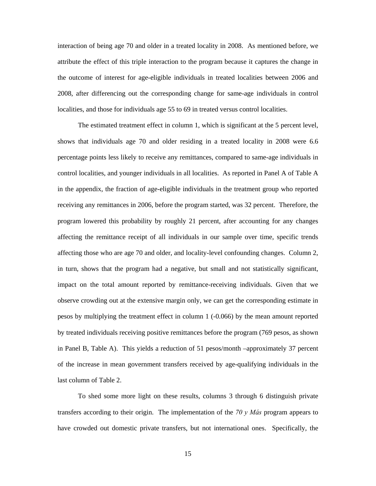interaction of being age 70 and older in a treated locality in 2008. As mentioned before, we attribute the effect of this triple interaction to the program because it captures the change in the outcome of interest for age-eligible individuals in treated localities between 2006 and 2008, after differencing out the corresponding change for same-age individuals in control localities, and those for individuals age 55 to 69 in treated versus control localities.

The estimated treatment effect in column 1, which is significant at the 5 percent level, shows that individuals age 70 and older residing in a treated locality in 2008 were 6.6 percentage points less likely to receive any remittances, compared to same-age individuals in control localities, and younger individuals in all localities. As reported in Panel A of Table A in the appendix, the fraction of age-eligible individuals in the treatment group who reported receiving any remittances in 2006, before the program started, was 32 percent. Therefore, the program lowered this probability by roughly 21 percent, after accounting for any changes affecting the remittance receipt of all individuals in our sample over time, specific trends affecting those who are age 70 and older, and locality-level confounding changes. Column 2, in turn, shows that the program had a negative, but small and not statistically significant, impact on the total amount reported by remittance-receiving individuals. Given that we observe crowding out at the extensive margin only, we can get the corresponding estimate in pesos by multiplying the treatment effect in column 1 (-0.066) by the mean amount reported by treated individuals receiving positive remittances before the program (769 pesos, as shown in Panel B, Table A). This yields a reduction of 51 pesos/month –approximately 37 percent of the increase in mean government transfers received by age-qualifying individuals in the last column of Table 2.

To shed some more light on these results, columns 3 through 6 distinguish private transfers according to their origin. The implementation of the *70 y Más* program appears to have crowded out domestic private transfers, but not international ones. Specifically, the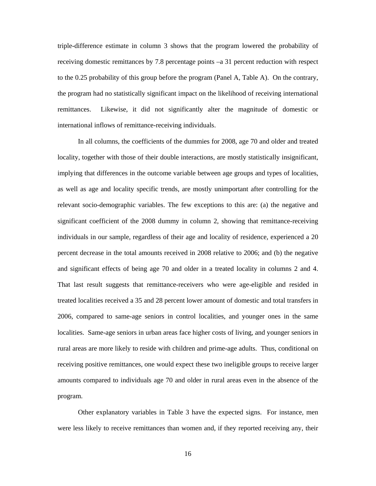triple-difference estimate in column 3 shows that the program lowered the probability of receiving domestic remittances by 7.8 percentage points –a 31 percent reduction with respect to the 0.25 probability of this group before the program (Panel A, Table A). On the contrary, the program had no statistically significant impact on the likelihood of receiving international remittances. Likewise, it did not significantly alter the magnitude of domestic or international inflows of remittance-receiving individuals.

In all columns, the coefficients of the dummies for 2008, age 70 and older and treated locality, together with those of their double interactions, are mostly statistically insignificant, implying that differences in the outcome variable between age groups and types of localities, as well as age and locality specific trends, are mostly unimportant after controlling for the relevant socio-demographic variables. The few exceptions to this are: (a) the negative and significant coefficient of the 2008 dummy in column 2, showing that remittance-receiving individuals in our sample, regardless of their age and locality of residence, experienced a 20 percent decrease in the total amounts received in 2008 relative to 2006; and (b) the negative and significant effects of being age 70 and older in a treated locality in columns 2 and 4. That last result suggests that remittance-receivers who were age-eligible and resided in treated localities received a 35 and 28 percent lower amount of domestic and total transfers in 2006, compared to same-age seniors in control localities, and younger ones in the same localities. Same-age seniors in urban areas face higher costs of living, and younger seniors in rural areas are more likely to reside with children and prime-age adults. Thus, conditional on receiving positive remittances, one would expect these two ineligible groups to receive larger amounts compared to individuals age 70 and older in rural areas even in the absence of the program.

 Other explanatory variables in Table 3 have the expected signs. For instance, men were less likely to receive remittances than women and, if they reported receiving any, their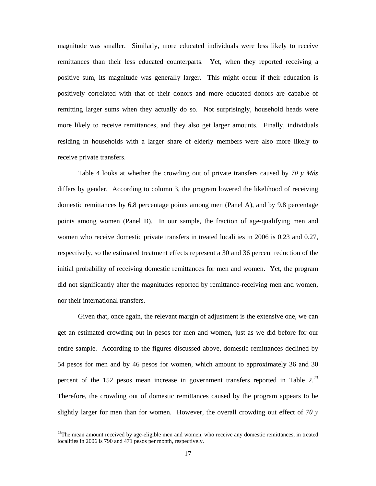magnitude was smaller. Similarly, more educated individuals were less likely to receive remittances than their less educated counterparts. Yet, when they reported receiving a positive sum, its magnitude was generally larger. This might occur if their education is positively correlated with that of their donors and more educated donors are capable of remitting larger sums when they actually do so. Not surprisingly, household heads were more likely to receive remittances, and they also get larger amounts. Finally, individuals residing in households with a larger share of elderly members were also more likely to receive private transfers.

 Table 4 looks at whether the crowding out of private transfers caused by *70 y Más* differs by gender. According to column 3, the program lowered the likelihood of receiving domestic remittances by 6.8 percentage points among men (Panel A), and by 9.8 percentage points among women (Panel B). In our sample, the fraction of age-qualifying men and women who receive domestic private transfers in treated localities in 2006 is 0.23 and 0.27, respectively, so the estimated treatment effects represent a 30 and 36 percent reduction of the initial probability of receiving domestic remittances for men and women. Yet, the program did not significantly alter the magnitudes reported by remittance-receiving men and women, nor their international transfers.

Given that, once again, the relevant margin of adjustment is the extensive one, we can get an estimated crowding out in pesos for men and women, just as we did before for our entire sample. According to the figures discussed above, domestic remittances declined by 54 pesos for men and by 46 pesos for women, which amount to approximately 36 and 30 percent of the 152 pesos mean increase in government transfers reported in Table  $2^{23}$ Therefore, the crowding out of domestic remittances caused by the program appears to be slightly larger for men than for women. However, the overall crowding out effect of *70 y* 

 $^{23}$ The mean amount received by age-eligible men and women, who receive any domestic remittances, in treated localities in 2006 is 790 and 471 pesos per month, respectively.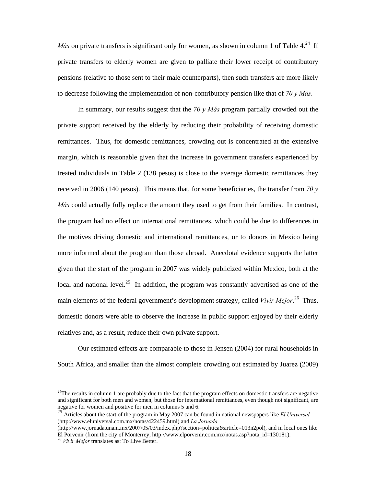*Más* on private transfers is significant only for women, as shown in column 1 of Table  $4.^{24}$  If private transfers to elderly women are given to palliate their lower receipt of contributory pensions (relative to those sent to their male counterparts), then such transfers are more likely to decrease following the implementation of non-contributory pension like that of *70 y Más*.

In summary, our results suggest that the *70 y Más* program partially crowded out the private support received by the elderly by reducing their probability of receiving domestic remittances. Thus, for domestic remittances, crowding out is concentrated at the extensive margin, which is reasonable given that the increase in government transfers experienced by treated individuals in Table 2 (138 pesos) is close to the average domestic remittances they received in 2006 (140 pesos). This means that, for some beneficiaries, the transfer from *70 y Más* could actually fully replace the amount they used to get from their families. In contrast, the program had no effect on international remittances, which could be due to differences in the motives driving domestic and international remittances, or to donors in Mexico being more informed about the program than those abroad. Anecdotal evidence supports the latter given that the start of the program in 2007 was widely publicized within Mexico, both at the local and national level.<sup>25</sup> In addition, the program was constantly advertised as one of the main elements of the federal government's development strategy, called *Vivir Mejor*. 26 Thus, domestic donors were able to observe the increase in public support enjoyed by their elderly relatives and, as a result, reduce their own private support.

Our estimated effects are comparable to those in Jensen (2004) for rural households in South Africa, and smaller than the almost complete crowding out estimated by Juarez (2009)

 $24$ The results in column 1 are probably due to the fact that the program effects on domestic transfers are negative and significant for both men and women, but those for international remittances, even though not significant, are negative for women and positive for men in columns 5 and 6.

<sup>25</sup> Articles about the start of the program in May 2007 can be found in national newspapers like *El Universal* (http://www.eluniversal.com.mx/notas/422459.html) and *La Jornada*

<sup>(</sup>http://www.jornada.unam.mx/2007/05/03/index.php?section=politica&article=013n2pol), and in local ones like El Porvenir (from the city of Monterrey, http://www.elporvenir.com.mx/notas.asp?nota\_id=130181).

<sup>26</sup> *Vivir Mejor* translates as: To Live Better.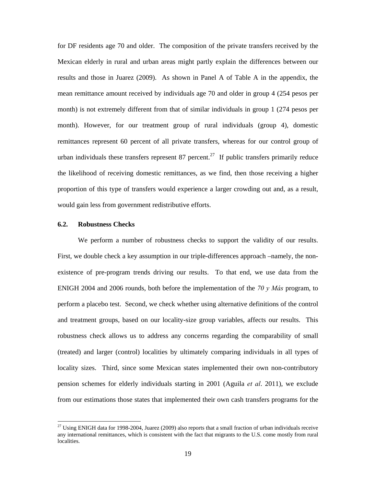for DF residents age 70 and older. The composition of the private transfers received by the Mexican elderly in rural and urban areas might partly explain the differences between our results and those in Juarez (2009). As shown in Panel A of Table A in the appendix, the mean remittance amount received by individuals age 70 and older in group 4 (254 pesos per month) is not extremely different from that of similar individuals in group 1 (274 pesos per month). However, for our treatment group of rural individuals (group 4), domestic remittances represent 60 percent of all private transfers, whereas for our control group of urban individuals these transfers represent 87 percent.<sup>27</sup> If public transfers primarily reduce the likelihood of receiving domestic remittances, as we find, then those receiving a higher proportion of this type of transfers would experience a larger crowding out and, as a result, would gain less from government redistributive efforts.

### **6.2. Robustness Checks**

-

We perform a number of robustness checks to support the validity of our results. First, we double check a key assumption in our triple-differences approach –namely, the nonexistence of pre-program trends driving our results. To that end, we use data from the ENIGH 2004 and 2006 rounds, both before the implementation of the *70 y Más* program, to perform a placebo test. Second, we check whether using alternative definitions of the control and treatment groups, based on our locality-size group variables, affects our results. This robustness check allows us to address any concerns regarding the comparability of small (treated) and larger (control) localities by ultimately comparing individuals in all types of locality sizes. Third, since some Mexican states implemented their own non-contributory pension schemes for elderly individuals starting in 2001 (Aguila *et al*. 2011), we exclude from our estimations those states that implemented their own cash transfers programs for the

<sup>&</sup>lt;sup>27</sup> Using ENIGH data for 1998-2004, Juarez (2009) also reports that a small fraction of urban individuals receive any international remittances, which is consistent with the fact that migrants to the U.S. come mostly from rural localities.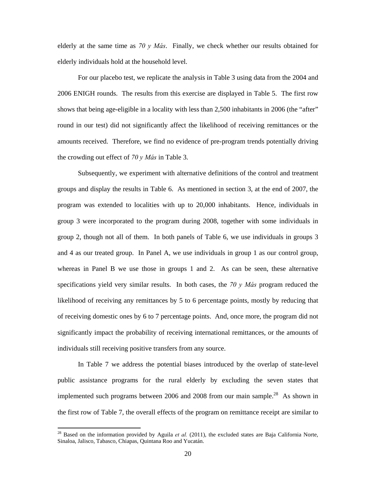elderly at the same time as *70 y Más*. Finally, we check whether our results obtained for elderly individuals hold at the household level.

For our placebo test, we replicate the analysis in Table 3 using data from the 2004 and 2006 ENIGH rounds. The results from this exercise are displayed in Table 5. The first row shows that being age-eligible in a locality with less than 2,500 inhabitants in 2006 (the "after" round in our test) did not significantly affect the likelihood of receiving remittances or the amounts received. Therefore, we find no evidence of pre-program trends potentially driving the crowding out effect of *70 y Más* in Table 3.

Subsequently, we experiment with alternative definitions of the control and treatment groups and display the results in Table 6. As mentioned in section 3, at the end of 2007, the program was extended to localities with up to 20,000 inhabitants. Hence, individuals in group 3 were incorporated to the program during 2008, together with some individuals in group 2, though not all of them. In both panels of Table 6, we use individuals in groups 3 and 4 as our treated group. In Panel A, we use individuals in group 1 as our control group, whereas in Panel B we use those in groups 1 and 2. As can be seen, these alternative specifications yield very similar results. In both cases, the *70 y Más* program reduced the likelihood of receiving any remittances by 5 to 6 percentage points, mostly by reducing that of receiving domestic ones by 6 to 7 percentage points. And, once more, the program did not significantly impact the probability of receiving international remittances, or the amounts of individuals still receiving positive transfers from any source.

In Table 7 we address the potential biases introduced by the overlap of state-level public assistance programs for the rural elderly by excluding the seven states that implemented such programs between 2006 and 2008 from our main sample.<sup>28</sup> As shown in the first row of Table 7, the overall effects of the program on remittance receipt are similar to

<sup>&</sup>lt;sup>28</sup> Based on the information provided by Aguila *et al.* (2011), the excluded states are Baja California Norte, Sinaloa, Jalisco, Tabasco, Chiapas, Quintana Roo and Yucatán.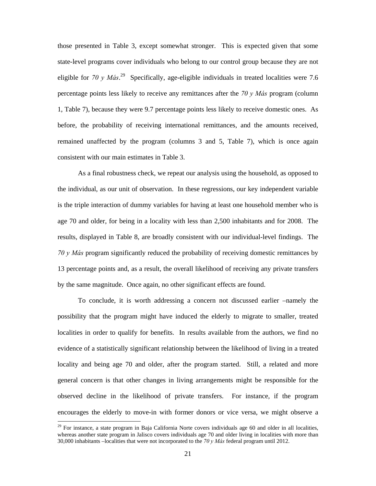those presented in Table 3, except somewhat stronger. This is expected given that some state-level programs cover individuals who belong to our control group because they are not eligible for *70 y Más*. 29 Specifically, age-eligible individuals in treated localities were 7.6 percentage points less likely to receive any remittances after the *70 y Más* program (column 1, Table 7), because they were 9.7 percentage points less likely to receive domestic ones. As before, the probability of receiving international remittances, and the amounts received, remained unaffected by the program (columns 3 and 5, Table 7), which is once again consistent with our main estimates in Table 3.

As a final robustness check, we repeat our analysis using the household, as opposed to the individual, as our unit of observation. In these regressions, our key independent variable is the triple interaction of dummy variables for having at least one household member who is age 70 and older, for being in a locality with less than 2,500 inhabitants and for 2008. The results, displayed in Table 8, are broadly consistent with our individual-level findings. The *70 y Más* program significantly reduced the probability of receiving domestic remittances by 13 percentage points and, as a result, the overall likelihood of receiving any private transfers by the same magnitude. Once again, no other significant effects are found.

To conclude, it is worth addressing a concern not discussed earlier –namely the possibility that the program might have induced the elderly to migrate to smaller, treated localities in order to qualify for benefits. In results available from the authors, we find no evidence of a statistically significant relationship between the likelihood of living in a treated locality and being age 70 and older, after the program started. Still, a related and more general concern is that other changes in living arrangements might be responsible for the observed decline in the likelihood of private transfers. For instance, if the program encourages the elderly to move-in with former donors or vice versa, we might observe a

 $29$  For instance, a state program in Baja California Norte covers individuals age 60 and older in all localities, whereas another state program in Jalisco covers individuals age 70 and older living in localities with more than 30,000 inhabitants –localities that were not incorporated to the *70 y Más* federal program until 2012.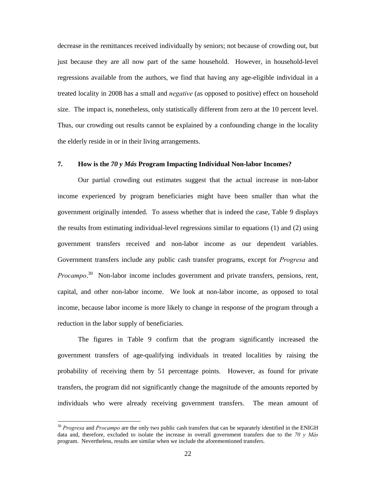decrease in the remittances received individually by seniors; not because of crowding out, but just because they are all now part of the same household. However, in household-level regressions available from the authors, we find that having any age-eligible individual in a treated locality in 2008 has a small and *negative* (as opposed to positive) effect on household size. The impact is, nonetheless, only statistically different from zero at the 10 percent level. Thus, our crowding out results cannot be explained by a confounding change in the locality the elderly reside in or in their living arrangements.

#### **7. How is the** *70 y Más* **Program Impacting Individual Non-labor Incomes?**

 Our partial crowding out estimates suggest that the actual increase in non-labor income experienced by program beneficiaries might have been smaller than what the government originally intended. To assess whether that is indeed the case, Table 9 displays the results from estimating individual-level regressions similar to equations (1) and (2) using government transfers received and non-labor income as our dependent variables. Government transfers include any public cash transfer programs, except for *Progresa* and *Procampo*. 30 Non-labor income includes government and private transfers, pensions, rent, capital, and other non-labor income. We look at non-labor income, as opposed to total income, because labor income is more likely to change in response of the program through a reduction in the labor supply of beneficiaries.

 The figures in Table 9 confirm that the program significantly increased the government transfers of age-qualifying individuals in treated localities by raising the probability of receiving them by 51 percentage points. However, as found for private transfers, the program did not significantly change the magnitude of the amounts reported by individuals who were already receiving government transfers. The mean amount of

<sup>30</sup> *Progresa* and *Procampo* are the only two public cash transfers that can be separately identified in the ENIGH data and, therefore, excluded to isolate the increase in overall government transfers due to the *70 y Más* program. Nevertheless, results are similar when we include the aforementioned transfers.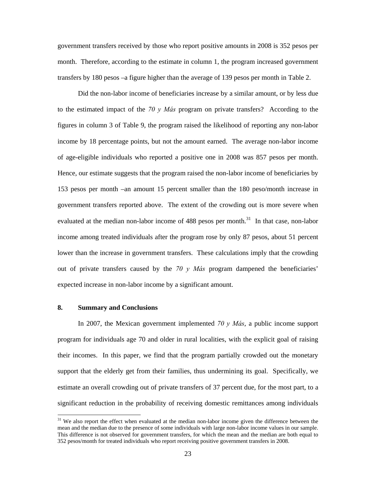government transfers received by those who report positive amounts in 2008 is 352 pesos per month. Therefore, according to the estimate in column 1, the program increased government transfers by 180 pesos –a figure higher than the average of 139 pesos per month in Table 2.

 Did the non-labor income of beneficiaries increase by a similar amount, or by less due to the estimated impact of the *70 y Más* program on private transfers? According to the figures in column 3 of Table 9, the program raised the likelihood of reporting any non-labor income by 18 percentage points, but not the amount earned. The average non-labor income of age-eligible individuals who reported a positive one in 2008 was 857 pesos per month. Hence, our estimate suggests that the program raised the non-labor income of beneficiaries by 153 pesos per month –an amount 15 percent smaller than the 180 peso/month increase in government transfers reported above. The extent of the crowding out is more severe when evaluated at the median non-labor income of 488 pesos per month.<sup>31</sup> In that case, non-labor income among treated individuals after the program rose by only 87 pesos, about 51 percent lower than the increase in government transfers. These calculations imply that the crowding out of private transfers caused by the *70 y Más* program dampened the beneficiaries' expected increase in non-labor income by a significant amount.

# **8. Summary and Conclusions**

-

In 2007, the Mexican government implemented *70 y Más*, a public income support program for individuals age 70 and older in rural localities, with the explicit goal of raising their incomes. In this paper, we find that the program partially crowded out the monetary support that the elderly get from their families, thus undermining its goal. Specifically, we estimate an overall crowding out of private transfers of 37 percent due, for the most part, to a significant reduction in the probability of receiving domestic remittances among individuals

<sup>&</sup>lt;sup>31</sup> We also report the effect when evaluated at the median non-labor income given the difference between the mean and the median due to the presence of some individuals with large non-labor income values in our sample. This difference is not observed for government transfers, for which the mean and the median are both equal to 352 pesos/month for treated individuals who report receiving positive government transfers in 2008.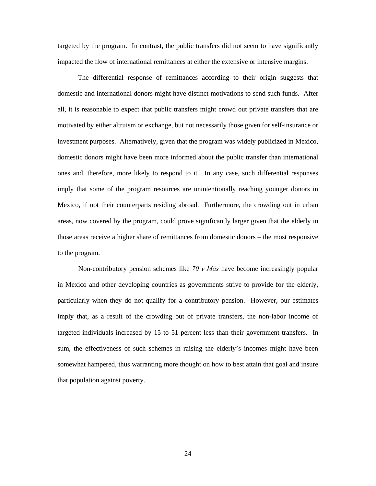targeted by the program. In contrast, the public transfers did not seem to have significantly impacted the flow of international remittances at either the extensive or intensive margins.

The differential response of remittances according to their origin suggests that domestic and international donors might have distinct motivations to send such funds. After all, it is reasonable to expect that public transfers might crowd out private transfers that are motivated by either altruism or exchange, but not necessarily those given for self-insurance or investment purposes. Alternatively, given that the program was widely publicized in Mexico, domestic donors might have been more informed about the public transfer than international ones and, therefore, more likely to respond to it. In any case, such differential responses imply that some of the program resources are unintentionally reaching younger donors in Mexico, if not their counterparts residing abroad. Furthermore, the crowding out in urban areas, now covered by the program, could prove significantly larger given that the elderly in those areas receive a higher share of remittances from domestic donors – the most responsive to the program.

Non-contributory pension schemes like *70 y Más* have become increasingly popular in Mexico and other developing countries as governments strive to provide for the elderly, particularly when they do not qualify for a contributory pension. However, our estimates imply that, as a result of the crowding out of private transfers, the non-labor income of targeted individuals increased by 15 to 51 percent less than their government transfers. In sum, the effectiveness of such schemes in raising the elderly's incomes might have been somewhat hampered, thus warranting more thought on how to best attain that goal and insure that population against poverty.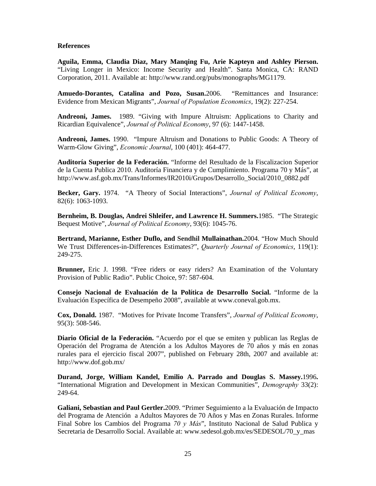# **References**

**Aguila, Emma, Claudia Diaz, Mary Manqing Fu, Arie Kapteyn and Ashley Pierson.**  "Living Longer in Mexico: Income Security and Health". Santa Monica, CA: RAND Corporation, 2011. Available at: http://www.rand.org/pubs/monographs/MG1179.

**Amuedo-Dorantes, Catalina and Pozo, Susan.**2006. "Remittances and Insurance: Evidence from Mexican Migrants", *Journal of Population Economics*, 19(2): 227-254.

**Andreoni, James.** 1989. "Giving with Impure Altruism: Applications to Charity and Ricardian Equivalence", *Journal of Political Economy*, 97 (6): 1447-1458.

**Andreoni, James.** 1990. "Impure Altruism and Donations to Public Goods: A Theory of Warm-Glow Giving", *Economic Journal*, 100 (401): 464-477.

**Auditoría Superior de la Federación.** "Informe del Resultado de la Fiscalizacion Superior de la Cuenta Publica 2010. Auditoría Financiera y de Cumplimiento. Programa 70 y Más", at http://www.asf.gob.mx/Trans/Informes/IR2010i/Grupos/Desarrollo\_Social/2010\_0882.pdf

**Becker, Gary.** 1974. "A Theory of Social Interactions", *Journal of Political Economy*, 82(6): 1063-1093.

**Bernheim, B. Douglas, Andrei Shleifer, and Lawrence H. Summers.**1985. "The Strategic Bequest Motive", *Journal of Political Economy*, 93(6): 1045-76.

**Bertrand, Marianne, Esther Duflo, and Sendhil Mullainathan.**2004. "How Much Should We Trust Differences-in-Differences Estimates?", *Quarterly Journal of Economics*, 119(1): 249-275.

**Brunner,** Eric J. 1998. "Free riders or easy riders? An Examination of the Voluntary Provision of Public Radio". Public Choice, 97: 587-604.

**Consejo Nacional de Evaluación de la Política de Desarrollo Social.** "Informe de la Evaluación Específica de Desempeño 2008", available at www.coneval.gob.mx.

**Cox, Donald.** 1987. "Motives for Private Income Transfers", *Journal of Political Economy*, 95(3): 508-546.

**Diario Oficial de la Federación.** "Acuerdo por el que se emiten y publican las Reglas de Operación del Programa de Atención a los Adultos Mayores de 70 años y más en zonas rurales para el ejercicio fiscal 2007", published on February 28th, 2007 and available at: http://www.dof.gob.mx/

**Durand, Jorge, William Kandel, Emilio A. Parrado and Douglas S. Massey.**1996**.**  "International Migration and Development in Mexican Communities", *Demography* 33(2): 249-64.

**Galiani, Sebastian and Paul Gertler.**2009. "Primer Seguimiento a la Evaluación de Impacto del Programa de Atención a Adultos Mayores de 70 Años y Mas en Zonas Rurales. Informe Final Sobre los Cambios del Programa *70 y Más*", Instituto Nacional de Salud Publica y Secretaria de Desarrollo Social. Available at: www.sedesol.gob.mx/es/SEDESOL/70\_y\_mas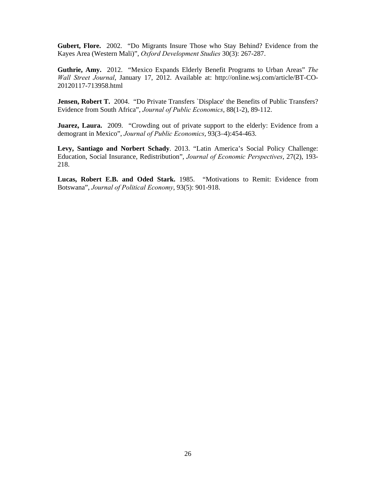**Gubert, Flore.** 2002. "Do Migrants Insure Those who Stay Behind? Evidence from the Kayes Area (Western Mali)", *Oxford Development Studies* 30(3): 267-287.

**Guthrie, Amy.** 2012. "Mexico Expands Elderly Benefit Programs to Urban Areas" *The Wall Street Journal*, January 17, 2012. Available at: http://online.wsj.com/article/BT-CO-20120117-713958.html

**Jensen, Robert T.** 2004. "Do Private Transfers 'Displace' the Benefits of Public Transfers? Evidence from South Africa", *Journal of Public Economics*, 88(1-2), 89-112.

**Juarez, Laura.** 2009. "Crowding out of private support to the elderly: Evidence from a demogrant in Mexico", *Journal of Public Economics*, 93(3–4):454-463.

**Levy, Santiago and Norbert Schady**. 2013. "Latin America's Social Policy Challenge: Education, Social Insurance, Redistribution", *Journal of Economic Perspectives*, 27(2), 193- 218.

**Lucas, Robert E.B. and Oded Stark.** 1985. "Motivations to Remit: Evidence from Botswana", *Journal of Political Economy*, 93(5): 901-918.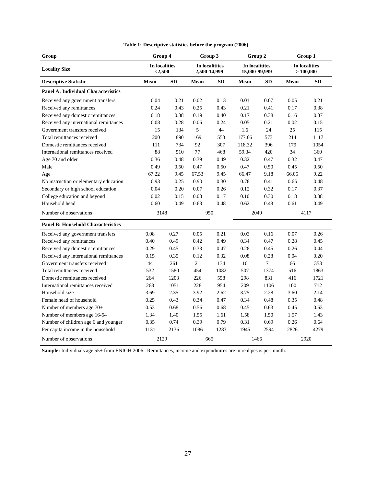| Group                                      | Group 4                  |           | Group 3                        |           | Group 2                         |           | Group 1                   |           |
|--------------------------------------------|--------------------------|-----------|--------------------------------|-----------|---------------------------------|-----------|---------------------------|-----------|
| <b>Locality Size</b>                       | In localities<br>< 2,500 |           | In localitites<br>2,500-14,999 |           | In localitites<br>15,000-99,999 |           | In localities<br>>100,000 |           |
| <b>Descriptive Statistic</b>               | <b>Mean</b>              | <b>SD</b> | Mean                           | <b>SD</b> | Mean                            | <b>SD</b> | Mean                      | <b>SD</b> |
| <b>Panel A: Individual Characteristics</b> |                          |           |                                |           |                                 |           |                           |           |
| Received any government transfers          | 0.04                     | 0.21      | 0.02                           | 0.13      | 0.01                            | 0.07      | 0.05                      | 0.21      |
| Received any remittances                   | 0.24                     | 0.43      | 0.25                           | 0.43      | 0.21                            | 0.41      | 0.17                      | 0.38      |
| Received any domestic remittances          | 0.18                     | 0.38      | 0.19                           | 0.40      | 0.17                            | 0.38      | 0.16                      | 0.37      |
| Received any international remittances     | 0.08                     | 0.28      | 0.06                           | 0.24      | 0.05                            | 0.21      | 0.02                      | 0.15      |
| Government transfers received              | 15                       | 134       | 5                              | 44        | 1.6                             | 24        | 25                        | 115       |
| Total remittances received                 | 200                      | 890       | 169                            | 553       | 177.66                          | 573       | 214                       | 1117      |
| Domestic remittances received              | 111                      | 734       | 92                             | 307       | 118.32                          | 396       | 179                       | 1054      |
| International remittances received         | 88                       | 510       | 77                             | 468       | 59.34                           | 420       | 34                        | 360       |
| Age 70 and older                           | 0.36                     | 0.48      | 0.39                           | 0.49      | 0.32                            | 0.47      | 0.32                      | 0.47      |
| Male                                       | 0.49                     | 0.50      | 0.47                           | 0.50      | 0.47                            | 0.50      | 0.45                      | 0.50      |
| Age                                        | 67.22                    | 9.45      | 67.53                          | 9.45      | 66.47                           | 9.18      | 66.05                     | 9.22      |
| No instruction or elementary education     | 0.93                     | 0.25      | 0.90                           | 0.30      | 0.78                            | 0.41      | 0.65                      | 0.48      |
| Secondary or high school education         | 0.04                     | 0.20      | 0.07                           | 0.26      | 0.12                            | 0.32      | 0.17                      | 0.37      |
| College education and beyond               | 0.02                     | 0.15      | 0.03                           | 0.17      | 0.10                            | 0.30      | 0.18                      | 0.38      |
| Household head                             | 0.60                     | 0.49      | 0.63                           | 0.48      | 0.62                            | 0.48      | 0.61                      | 0.49      |
| Number of observations                     | 3148                     |           | 950                            |           | 2049                            |           | 4117                      |           |
| <b>Panel B: Household Characteristics</b>  |                          |           |                                |           |                                 |           |                           |           |
| Received any government transfers          | 0.08                     | 0.27      | 0.05                           | 0.21      | 0.03                            | 0.16      | 0.07                      | 0.26      |
| Received any remittances                   | 0.40                     | 0.49      | 0.42                           | 0.49      | 0.34                            | 0.47      | 0.28                      | 0.45      |
| Received any domestic remittances          | 0.29                     | 0.45      | 0.33                           | 0.47      | 0.28                            | 0.45      | 0.26                      | 0.44      |
| Received any international remittances     | 0.15                     | 0.35      | 0.12                           | 0.32      | 0.08                            | 0.28      | 0.04                      | 0.20      |
| Government transfers received              | 44                       | 261       | 21                             | 134       | 10                              | 71        | 66                        | 353       |
| Total remittances received                 | 532                      | 1580      | 454                            | 1082      | 507                             | 1374      | 516                       | 1863      |
| Domestic remittances received              | 264                      | 1203      | 226                            | 558       | 298                             | 831       | 416                       | 1721      |
| International remittances received         | 268                      | 1051      | 228                            | 954       | 209                             | 1106      | 100                       | 712       |
| Household size                             | 3.69                     | 2.35      | 3.92                           | 2.62      | 3.75                            | 2.28      | 3.60                      | 2.14      |
| Female head of household                   | 0.25                     | 0.43      | 0.34                           | 0.47      | 0.34                            | 0.48      | 0.35                      | 0.48      |
| Number of members age $70+$                | 0.53                     | 0.68      | 0.56                           | 0.68      | 0.45                            | 0.63      | 0.45                      | 0.63      |
| Number of members age 16-54                | 1.34                     | 1.40      | 1.55                           | 1.61      | 1.58                            | 1.50      | 1.57                      | 1.43      |
| Number of children age 6 and younger       | 0.35                     | 0.74      | 0.39                           | 0.79      | 0.31                            | 0.69      | 0.26                      | 0.64      |
| Per capita income in the household         | 1131                     | 2136      | 1086                           | 1283      | 1945                            | 2594      | 2826                      | 4279      |
| Number of observations                     | 2129                     |           | 665                            |           | 1466                            |           | 2920                      |           |

**Sample:** Individuals age 55+ from ENIGH 2006. Remittances, income and expenditures are in real pesos per month.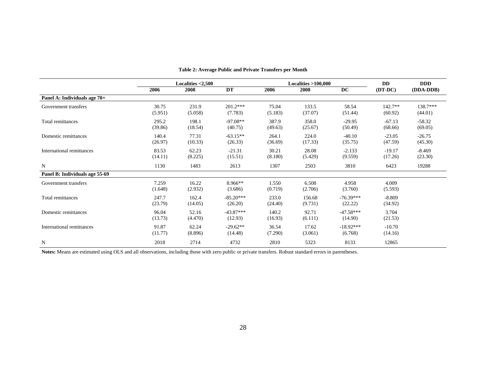|                                |                  | Localities $<$ 2,500 |                        |                  | <b>Localities &gt;100,000</b> | <b>DD</b>              | <b>DDD</b>           |                     |
|--------------------------------|------------------|----------------------|------------------------|------------------|-------------------------------|------------------------|----------------------|---------------------|
|                                | 2006             | 2008                 | DT                     | 2006             | 2008                          | DC                     | $(DT-DC)$            | (DDA-DDB)           |
| Panel A: Individuals age 70+   |                  |                      |                        |                  |                               |                        |                      |                     |
| Government transfers           | 30.75<br>(5.951) | 231.9<br>(5.058)     | $201.2***$<br>(7.783)  | 75.04<br>(5.183) | 133.5<br>(37.07)              | 58.54<br>(51.44)       | $142.7**$<br>(60.92) | 138.7***<br>(44.01) |
| Total remittances              | 295.2<br>(39.86) | 198.1<br>(18.54)     | $-97.08**$<br>(40.75)  | 387.9<br>(49.63) | 358.0<br>(25.67)              | $-29.95$<br>(50.49)    | $-67.13$<br>(68.66)  | $-58.32$<br>(69.05) |
| Domestic remittances           | 140.4<br>(26.97) | 77.31<br>(10.33)     | $-63.15**$<br>(26.33)  | 264.1<br>(36.69) | 224.0<br>(17.33)              | $-40.10$<br>(35.75)    | $-23.05$<br>(47.59)  | $-26.75$<br>(45.30) |
| International remittances      | 83.53<br>(14.11) | 62.23<br>(8.225)     | $-21.31$<br>(15.51)    | 30.21<br>(8.180) | 28.08<br>(5.429)              | $-2.133$<br>(9.559)    | $-19.17$<br>(17.26)  | $-8.469$<br>(23.30) |
| $\mathbf N$                    | 1130             | 1483                 | 2613                   | 1307             | 2503                          | 3810                   | 6423                 | 19288               |
| Panel B: Individuals age 55-69 |                  |                      |                        |                  |                               |                        |                      |                     |
| Government transfers           | 7.259<br>(1.648) | 16.22<br>(2.932)     | 8.966**<br>(3.686)     | 1.550<br>(0.719) | 6.508<br>(2.706)              | 4.958<br>(3.760)       | 4.009<br>(5.593)     |                     |
| Total remittances              | 247.7<br>(23.79) | 162.4<br>(14.05)     | $-85.20***$<br>(26.20) | 233.0<br>(24.40) | 156.68<br>(9.731)             | $-76.39***$<br>(22.22) | $-8.809$<br>(34.92)  |                     |
| Domestic remittances           | 96.04<br>(13.73) | 52.16<br>(4.470)     | $-43.87***$<br>(12.93) | 140.2<br>(16.93) | 92.71<br>(6.111)              | $-47.58***$<br>(14.90) | 3.704<br>(21.53)     |                     |
| International remittances      | 91.87<br>(11.77) | 62.24<br>(8.896)     | $-29.62**$<br>(14.48)  | 36.54<br>(7.290) | 17.62<br>(3.061)              | $-18.92***$<br>(6.768) | $-10.70$<br>(14.16)  |                     |
| $\mathbf N$                    | 2018             | 2714                 | 4732                   | 2810             | 5323                          | 8133                   | 12865                |                     |

#### **Table 2: Average Public and Private Transfers per Month**

**Notes:** Means are estimated using OLS and all observations, including those with zero public or private transfers. Robust standard errors in parentheses.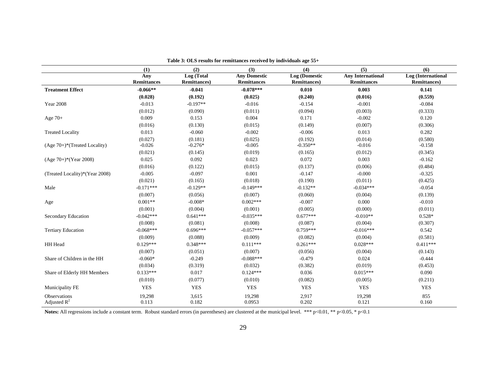|                                             | (1)                       | (2)                                | (3)                                       | (4)                                   | (5)                                            | (6)                                        |
|---------------------------------------------|---------------------------|------------------------------------|-------------------------------------------|---------------------------------------|------------------------------------------------|--------------------------------------------|
|                                             | Any<br><b>Remittances</b> | Log (Total<br><b>Remittances</b> ) | <b>Any Domestic</b><br><b>Remittances</b> | Log (Domestic<br><b>Remittances</b> ) | <b>Any International</b><br><b>Remittances</b> | Log (International<br><b>Remittances</b> ) |
| <b>Treatment Effect</b>                     | $-0.066**$                | $-0.041$                           | $-0.078***$                               | 0.010                                 | 0.003                                          | 0.141                                      |
|                                             | (0.028)                   | (0.192)                            | (0.025)                                   | (0.240)                               | (0.016)                                        | (0.559)                                    |
| <b>Year 2008</b>                            | $-0.013$                  | $-0.197**$                         | $-0.016$                                  | $-0.154$                              | $-0.001$                                       | $-0.084$                                   |
|                                             | (0.012)                   | (0.090)                            | (0.011)                                   | (0.094)                               | (0.003)                                        | (0.333)                                    |
| Age $70+$                                   | 0.009                     | 0.153                              | 0.004                                     | 0.171                                 | $-0.002$                                       | 0.120                                      |
|                                             | (0.016)                   | (0.130)                            | (0.015)                                   | (0.149)                               | (0.007)                                        | (0.306)                                    |
| <b>Treated Locality</b>                     | 0.013                     | $-0.060$                           | $-0.002$                                  | $-0.006$                              | 0.013                                          | 0.282                                      |
|                                             | (0.027)                   | (0.181)                            | (0.025)                                   | (0.192)                               | (0.014)                                        | (0.580)                                    |
| $(Age 70+)$ <sup>*</sup> (Treated Locality) | $-0.026$                  | $-0.276*$                          | $-0.005$                                  | $-0.350**$                            | $-0.016$                                       | $-0.158$                                   |
|                                             | (0.021)                   | (0.145)                            | (0.019)                                   | (0.165)                               | (0.012)                                        | (0.345)                                    |
| $(Age 70+)*(Year 2008)$                     | 0.025                     | 0.092                              | 0.023                                     | 0.072                                 | 0.003                                          | $-0.162$                                   |
|                                             | (0.016)                   | (0.122)                            | (0.015)                                   | (0.137)                               | (0.006)                                        | (0.484)                                    |
| (Treated Locality)*(Year 2008)              | $-0.005$                  | $-0.097$                           | 0.001                                     | $-0.147$                              | $-0.000$                                       | $-0.325$                                   |
|                                             | (0.021)                   | (0.165)                            | (0.018)                                   | (0.190)                               | (0.011)                                        | (0.425)                                    |
| Male                                        | $-0.171***$               | $-0.129**$                         | $-0.149***$                               | $-0.132**$                            | $-0.034***$                                    | $-0.054$                                   |
|                                             | (0.007)                   | (0.056)                            | (0.007)                                   | (0.060)                               | (0.004)                                        | (0.139)                                    |
| Age                                         | $0.001**$                 | $-0.008*$                          | $0.002***$                                | $-0.007$                              | 0.000                                          | $-0.010$                                   |
|                                             | (0.001)                   | (0.004)                            | (0.001)                                   | (0.005)                               | (0.000)                                        | (0.011)                                    |
| Secondary Education                         | $-0.042***$               | $0.641***$                         | $-0.035***$                               | $0.677***$                            | $-0.010**$                                     | $0.528*$                                   |
|                                             | (0.008)                   | (0.081)                            | (0.008)                                   | (0.087)                               | (0.004)                                        | (0.307)                                    |
| <b>Tertiary Education</b>                   | $-0.068***$               | $0.696***$                         | $-0.057***$                               | $0.759***$                            | $-0.016***$                                    | 0.542                                      |
|                                             | (0.009)                   | (0.088)                            | (0.009)                                   | (0.082)                               | (0.004)                                        | (0.581)                                    |
| HH Head                                     | $0.129***$                | $0.348***$                         | $0.111***$                                | $0.261***$                            | $0.028***$                                     | $0.411***$                                 |
|                                             | (0.007)                   | (0.051)                            | (0.007)                                   | (0.056)                               | (0.004)                                        | (0.143)                                    |
| Share of Children in the HH                 | $-0.060*$                 | $-0.249$                           | $-0.088***$                               | $-0.479$                              | 0.024                                          | $-0.444$                                   |
|                                             | (0.034)                   | (0.319)                            | (0.032)                                   | (0.382)                               | (0.019)                                        | (0.453)                                    |
| Share of Elderly HH Members                 | $0.133***$                | 0.017                              | $0.124***$                                | 0.036                                 | $0.015***$                                     | 0.090                                      |
|                                             | (0.010)                   | (0.077)                            | (0.010)                                   | (0.082)                               | (0.005)                                        | (0.211)                                    |
| Municipality FE                             | <b>YES</b>                | <b>YES</b>                         | <b>YES</b>                                | <b>YES</b>                            | <b>YES</b>                                     | <b>YES</b>                                 |
| <b>Observations</b><br>Adjusted $R^2$       | 19,298<br>0.113           | 3,615<br>0.182                     | 19,298<br>0.0953                          | 2,917<br>0.202                        | 19,298<br>0.121                                | 855<br>0.160                               |

**Table 3: OLS results for remittances received by individuals age 55+** 

Notes: All regressions include a constant term. Robust standard errors (in parentheses) are clustered at the municipal level. \*\*\* p<0.01, \*\* p<0.05, \* p<0.1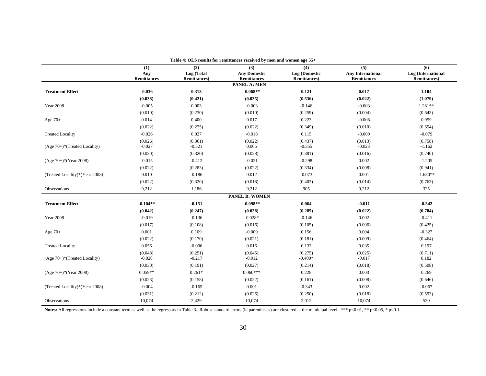|                                             | (1)                 | (2)                                | Tube 11 OLD Festivo for Femininees Feceived by men and women age be a<br>(3) | (4)                                   | $\overline{(5)}$                               | $\overline{\mathbf{6}}$                    |
|---------------------------------------------|---------------------|------------------------------------|------------------------------------------------------------------------------|---------------------------------------|------------------------------------------------|--------------------------------------------|
|                                             | Any<br>Remittances  | Log (Total<br><b>Remittances</b> ) | <b>Any Domestic</b><br><b>Remittances</b>                                    | Log (Domestic<br><b>Remittances</b> ) | <b>Any International</b><br><b>Remittances</b> | Log (International<br><b>Remittances</b> ) |
|                                             |                     |                                    | PANEL A: MEN                                                                 |                                       |                                                |                                            |
| <b>Treatment Effect</b>                     | $-0.036$            | 0.313                              | $-0.068**$                                                                   | 0.121                                 | 0.017                                          | 1.104                                      |
|                                             | (0.038)             | (0.421)                            | (0.035)                                                                      | (0.536)                               | (0.022)                                        | (1.079)                                    |
| <b>Year 2008</b>                            | $-0.005$            | 0.003                              | $-0.003$                                                                     | $-0.146$                              | $-0.003$                                       | $1.281**$                                  |
|                                             | (0.010)             | (0.230)                            | (0.010)                                                                      | (0.259)                               | (0.004)                                        | (0.643)                                    |
| Age $70+$                                   | 0.014               | 0.400                              | 0.017                                                                        | 0.223                                 | $-0.008$                                       | 0.959                                      |
|                                             | (0.022)             | (0.275)                            | (0.022)                                                                      | (0.349)                               | (0.010)                                        | (0.654)                                    |
| <b>Treated Locality</b>                     | $-0.026$            | 0.027                              | $-0.018$                                                                     | 0.115                                 | $-0.009$                                       | $-0.079$                                   |
| $(Age 70+)$ <sup>*</sup> (Treated Locality) | (0.026)<br>$-0.027$ | (0.361)<br>$-0.521$                | (0.022)<br>0.005                                                             | (0.437)<br>$-0.355$                   | (0.013)<br>$-0.023$                            | (0.758)<br>$-1.162$                        |
|                                             | (0.030)             | (0.320)                            | (0.028)                                                                      | (0.381)                               | (0.016)                                        | (0.740)                                    |
| (Age 70+)*(Year 2008)                       | $-0.015$            | $-0.412$                           | $-0.021$                                                                     | $-0.298$                              | 0.002                                          | $-1.205$                                   |
|                                             | (0.022)             | (0.283)                            | (0.022)                                                                      | (0.334)                               | (0.008)                                        | (0.941)                                    |
| (Treated Locality)*(Year 2008)              | 0.010               | $-0.186$                           | 0.012                                                                        | $-0.073$                              | 0.001                                          | $-1.630**$                                 |
|                                             | (0.022)             | (0.320)                            | (0.018)                                                                      | (0.402)                               | (0.014)                                        | (0.763)                                    |
| Observations                                | 9,212               | 1,186                              | 9,212                                                                        | 905                                   | 9,212                                          | 325                                        |
|                                             |                     |                                    | <b>PANEL B: WOMEN</b>                                                        |                                       |                                                |                                            |
| <b>Treatment Effect</b>                     | $-0.104**$          | $-0.151$                           | $-0.098**$                                                                   | 0.064                                 | $-0.011$                                       | $-0.342$                                   |
|                                             | (0.042)             | (0.247)                            | (0.038)                                                                      | (0.285)                               | (0.022)                                        | (0.784)                                    |
| <b>Year 2008</b>                            | $-0.019$            | $-0.136$                           | $-0.028*$                                                                    | $-0.146$                              | 0.002                                          | $-0.411$                                   |
|                                             | (0.017)             | (0.108)                            | (0.016)                                                                      | (0.105)                               | (0.006)                                        | (0.425)                                    |
| Age $70+$                                   | 0.001               | 0.109                              | $-0.009$                                                                     | 0.156                                 | 0.004                                          | $-0.327$                                   |
|                                             | (0.022)             | (0.170)                            | (0.021)                                                                      | (0.181)                               | (0.009)                                        | (0.464)                                    |
| <b>Treated Locality</b>                     | 0.056               | $-0.006$                           | 0.016                                                                        | 0.133                                 | 0.035                                          | 0.197                                      |
| $(Age 70+)$ *(Treated Locality)             | (0.048)<br>$-0.028$ | (0.251)<br>$-0.217$                | (0.045)<br>$-0.012$                                                          | (0.275)<br>$-0.400*$                  | (0.025)<br>$-0.017$                            | (0.711)<br>0.182                           |
|                                             | (0.030)             | (0.191)                            | (0.027)                                                                      | (0.214)                               | (0.018)                                        | (0.508)                                    |
| $(Age 70+)*(Year 2008)$                     | $0.059**$           | $0.261*$                           | $0.060***$                                                                   | 0.228                                 | 0.003                                          | 0.269                                      |
|                                             | (0.023)             | (0.158)                            | (0.022)                                                                      | (0.161)                               | (0.008)                                        | (0.646)                                    |
| (Treated Locality)*(Year 2008)              | $-0.004$            | $-0.165$                           | 0.001                                                                        | $-0.343$                              | 0.002                                          | $-0.067$                                   |
|                                             | (0.031)             | (0.212)                            | (0.026)                                                                      | (0.250)                               | (0.018)                                        | (0.593)                                    |
| Observations                                | 10,074              | 2,429                              | 10,074                                                                       | 2,012                                 | 10,074                                         | 530                                        |

**Table 4: OLS results for remittances received by men and women age 55+** 

Notes: All regressions include a constant term as well as the regressors in Table 3. Robust standard errors (in parentheses) are clustered at the municipal level. \*\*\* p<0.01, \*\* p<0.05, \* p<0.1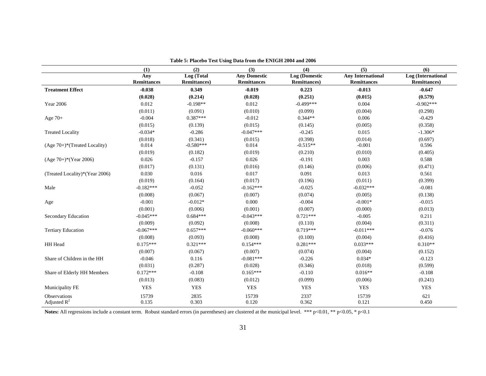|                                 | (1)                       | (2)                                | (3)                                       | (4)                                   | (5)                                            | (6)                                        |
|---------------------------------|---------------------------|------------------------------------|-------------------------------------------|---------------------------------------|------------------------------------------------|--------------------------------------------|
|                                 | Any<br><b>Remittances</b> | Log(Total)<br><b>Remittances</b> ) | <b>Any Domestic</b><br><b>Remittances</b> | Log (Domestic<br><b>Remittances</b> ) | <b>Any International</b><br><b>Remittances</b> | Log (International<br><b>Remittances</b> ) |
| <b>Treatment Effect</b>         | $-0.038$                  | 0.349                              | $-0.019$                                  | 0.223                                 | $-0.013$                                       | $-0.647$                                   |
|                                 | (0.028)                   | (0.214)                            | (0.028)                                   | (0.251)                               | (0.015)                                        | (0.579)                                    |
| Year 2006                       | 0.012                     | $-0.198**$                         | 0.012                                     | $-0.499***$                           | 0.004                                          | $-0.902***$                                |
|                                 | (0.011)                   | (0.091)                            | (0.010)                                   | (0.099)                               | (0.004)                                        | (0.298)                                    |
| Age $70+$                       | $-0.004$                  | $0.387***$                         | $-0.012$                                  | $0.344**$                             | 0.006                                          | $-0.429$                                   |
|                                 | (0.015)                   | (0.139)                            | (0.015)                                   | (0.145)                               | (0.005)                                        | (0.358)                                    |
| <b>Treated Locality</b>         | $-0.034*$                 | $-0.286$                           | $-0.047***$                               | $-0.245$                              | 0.015                                          | $-1.306*$                                  |
|                                 | (0.018)                   | (0.341)                            | (0.015)                                   | (0.398)                               | (0.014)                                        | (0.697)                                    |
| $(Age 70+)$ *(Treated Locality) | 0.014                     | $-0.580***$                        | 0.014                                     | $-0.515**$                            | $-0.001$                                       | 0.596                                      |
|                                 | (0.019)                   | (0.182)                            | (0.019)                                   | (0.210)                               | (0.010)                                        | (0.405)                                    |
| $(Age 70+)$ *(Year 2006)        | 0.026                     | $-0.157$                           | 0.026                                     | $-0.191$                              | 0.003                                          | 0.588                                      |
|                                 | (0.017)                   | (0.131)                            | (0.016)                                   | (0.146)                               | (0.006)                                        | (0.471)                                    |
| (Treated Locality)*(Year 2006)  | 0.030                     | 0.016                              | 0.017                                     | 0.091                                 | 0.013                                          | 0.561                                      |
|                                 | (0.019)                   | (0.164)                            | (0.017)                                   | (0.196)                               | (0.011)                                        | (0.399)                                    |
| Male                            | $-0.182***$               | $-0.052$                           | $-0.162***$                               | $-0.025$                              | $-0.032***$                                    | $-0.081$                                   |
|                                 | (0.008)                   | (0.067)                            | (0.007)                                   | (0.074)                               | (0.005)                                        | (0.138)                                    |
| Age                             | $-0.001$                  | $-0.012*$                          | 0.000                                     | $-0.004$                              | $-0.001*$                                      | $-0.015$                                   |
|                                 | (0.001)                   | (0.006)                            | (0.001)                                   | (0.007)                               | (0.000)                                        | (0.013)                                    |
| Secondary Education             | $-0.045***$               | $0.684***$                         | $-0.043***$                               | $0.721***$                            | $-0.005$                                       | 0.211                                      |
|                                 | (0.009)                   | (0.092)                            | (0.008)                                   | (0.110)                               | (0.004)                                        | (0.311)                                    |
| <b>Tertiary Education</b>       | $-0.067***$               | $0.657***$                         | $-0.060***$                               | $0.719***$                            | $-0.011***$                                    | $-0.076$                                   |
|                                 | (0.008)                   | (0.093)                            | (0.008)                                   | (0.100)                               | (0.004)                                        | (0.416)                                    |
| HH Head                         | $0.175***$                | $0.321***$                         | $0.154***$                                | $0.281***$                            | $0.033***$                                     | $0.310**$                                  |
|                                 | (0.007)                   | (0.067)                            | (0.007)                                   | (0.074)                               | (0.004)                                        | (0.152)                                    |
| Share of Children in the HH     | $-0.046$                  | 0.116                              | $-0.081***$                               | $-0.226$                              | $0.034*$                                       | $-0.123$                                   |
|                                 | (0.031)                   | (0.287)                            | (0.028)                                   | (0.346)                               | (0.018)                                        | (0.599)                                    |
| Share of Elderly HH Members     | $0.172***$                | $-0.108$                           | $0.165***$                                | $-0.110$                              | $0.016**$                                      | $-0.108$                                   |
|                                 | (0.013)                   | (0.083)                            | (0.012)                                   | (0.099)                               | (0.006)                                        | (0.241)                                    |
| Municipality FE                 | <b>YES</b>                | <b>YES</b>                         | <b>YES</b>                                | <b>YES</b>                            | <b>YES</b>                                     | <b>YES</b>                                 |
| Observations<br>Adjusted $R^2$  | 15739<br>0.135            | 2835<br>0.303                      | 15739<br>0.120                            | 2337<br>0.362                         | 15739<br>0.121                                 | 621<br>0.450                               |

**Table 5: Placebo Test Using Data from the ENIGH 2004 and 2006** 

Notes: All regressions include a constant term. Robust standard errors (in parentheses) are clustered at the municipal level. \*\*\* p<0.01, \*\* p<0.05, \* p<0.1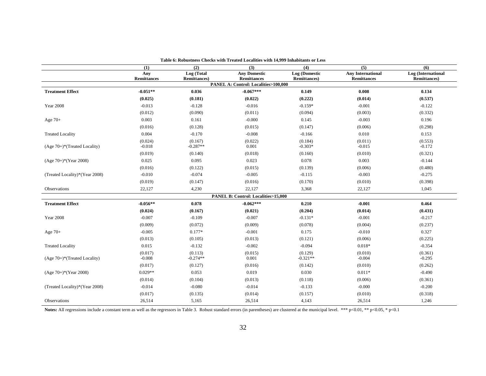|                                             | (1)                 | $\overline{(2)}$                   | $\overline{(3)}$                              | $\overline{(4)}$                      | $\overline{(5)}$                               | (6)                                        |
|---------------------------------------------|---------------------|------------------------------------|-----------------------------------------------|---------------------------------------|------------------------------------------------|--------------------------------------------|
|                                             | Any<br>Remittances  | Log (Total<br><b>Remittances</b> ) | <b>Any Domestic</b><br><b>Remittances</b>     | Log (Domestic<br><b>Remittances</b> ) | <b>Any International</b><br><b>Remittances</b> | Log (International<br><b>Remittances</b> ) |
|                                             |                     |                                    | PANEL A: Control: Localities>100,000          |                                       |                                                |                                            |
| <b>Treatment Effect</b>                     | $-0.051**$          | 0.036                              | $-0.067***$                                   | 0.149                                 | 0.008                                          | 0.134                                      |
|                                             | (0.025)             | (0.181)                            | (0.022)                                       | (0.222)                               | (0.014)                                        | (0.537)                                    |
| <b>Year 2008</b>                            | $-0.013$            | $-0.128$                           | $-0.016$                                      | $-0.159*$                             | $-0.001$                                       | $-0.122$                                   |
|                                             | (0.012)             | (0.090)                            | (0.011)                                       | (0.094)                               | (0.003)                                        | (0.332)                                    |
| Age $70+$                                   | 0.003               | 0.161                              | $-0.000$                                      | 0.145                                 | $-0.003$                                       | 0.196                                      |
|                                             | (0.016)             | (0.128)                            | (0.015)                                       | (0.147)                               | (0.006)                                        | (0.298)                                    |
| <b>Treated Locality</b>                     | 0.004               | $-0.170$                           | $-0.008$                                      | $-0.166$                              | 0.010                                          | 0.153                                      |
| $(Age 70+)$ <sup>*</sup> (Treated Locality) | (0.024)<br>$-0.018$ | (0.167)<br>$-0.287**$              | (0.022)<br>0.001                              | (0.184)<br>$-0.303*$                  | (0.011)<br>$-0.015$                            | (0.553)<br>$-0.172$                        |
|                                             | (0.019)             | (0.140)                            | (0.018)                                       | (0.160)                               | (0.010)                                        | (0.321)                                    |
| $(Age 70+)$ *(Year 2008)                    | 0.025               | 0.095                              | 0.023                                         | 0.078                                 | 0.003                                          | $-0.144$                                   |
|                                             | (0.016)             | (0.122)                            | (0.015)                                       | (0.139)                               | (0.006)                                        | (0.480)                                    |
| (Treated Locality)*(Year 2008)              | $-0.010$            | $-0.074$                           | $-0.005$                                      | $-0.115$                              | $-0.003$                                       | $-0.275$                                   |
|                                             | (0.019)             | (0.147)                            | (0.016)                                       | (0.170)                               | (0.010)                                        | (0.398)                                    |
| Observations                                | 22,127              | 4,230                              | 22,127                                        | 3,368                                 | 22,127                                         | 1,045                                      |
|                                             |                     |                                    | <b>PANEL B: Control: Localities&gt;15,000</b> |                                       |                                                |                                            |
| <b>Treatment Effect</b>                     | $-0.056**$          | 0.078                              | $-0.062***$                                   | 0.210                                 | $-0.001$                                       | 0.464                                      |
|                                             | (0.024)             | (0.167)                            | (0.021)                                       | (0.204)                               | (0.014)                                        | (0.431)                                    |
| <b>Year 2008</b>                            | $-0.007$            | $-0.109$                           | $-0.007$                                      | $-0.131*$                             | $-0.001$                                       | $-0.217$                                   |
|                                             | (0.009)             | (0.072)                            | (0.009)                                       | (0.078)                               | (0.004)                                        | (0.237)                                    |
| Age $70+$                                   | $-0.005$            | $0.177*$                           | $-0.001$                                      | 0.175                                 | $-0.010$                                       | 0.327                                      |
|                                             | (0.013)             | (0.105)                            | (0.013)                                       | (0.121)                               | (0.006)                                        | (0.225)                                    |
| <b>Treated Locality</b>                     | 0.015               | $-0.132$                           | $-0.002$                                      | $-0.094$                              | $0.018*$                                       | $-0.354$                                   |
| $(Age 70+)$ *(Treated Locality)             | (0.017)<br>$-0.008$ | (0.113)<br>$-0.274**$              | (0.015)<br>0.001                              | (0.129)<br>$-0.321**$                 | (0.010)<br>$-0.004$                            | (0.361)<br>$-0.295$                        |
|                                             | (0.017)             | (0.127)                            | (0.016)                                       | (0.142)                               | (0.010)                                        | (0.262)                                    |
| $(Age 70+)*(Year 2008)$                     | $0.029**$           | 0.053                              | 0.019                                         | 0.030                                 | $0.011*$                                       | $-0.490$                                   |
|                                             | (0.014)             | (0.104)                            | (0.013)                                       | (0.118)                               | (0.006)                                        | (0.361)                                    |
| (Treated Locality)*(Year 2008)              | $-0.014$            | $-0.080$                           | $-0.014$                                      | $-0.133$                              | $-0.000$                                       | $-0.200$                                   |
|                                             | (0.017)             | (0.135)                            | (0.014)                                       | (0.157)                               | (0.010)                                        | (0.318)                                    |
| Observations                                | 26,514              | 5,165                              | 26,514                                        | 4,143                                 | 26,514                                         | 1,246                                      |

**Table 6: Robustness Checks with Treated Localities with 14,999 Inhabitants or Less** 

Notes: All regressions include a constant term as well as the regressors in Table 3. Robust standard errors (in parentheses) are clustered at the municipal level. \*\*\* p<0.01, \*\* p<0.05, \* p<0.1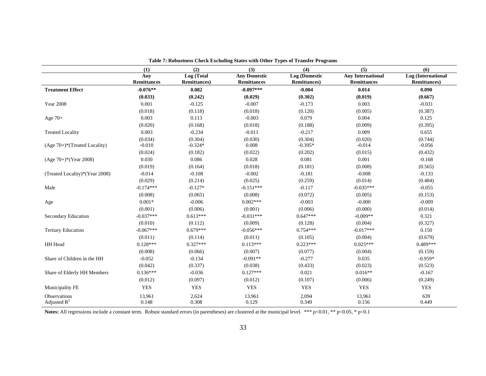|                                | (1)                       | (2)                                | (3)                                       | (4)                                   | (5)                                            | (6)                                        |
|--------------------------------|---------------------------|------------------------------------|-------------------------------------------|---------------------------------------|------------------------------------------------|--------------------------------------------|
|                                | Any<br><b>Remittances</b> | Log (Total<br><b>Remittances</b> ) | <b>Any Domestic</b><br><b>Remittances</b> | Log (Domestic<br><b>Remittances</b> ) | <b>Any International</b><br><b>Remittances</b> | Log (International<br><b>Remittances</b> ) |
| <b>Treatment Effect</b>        | $-0.076**$                | 0.082                              | $-0.097***$                               | $-0.004$                              | 0.014                                          | 0.090                                      |
|                                | (0.033)                   | (0.242)                            | (0.029)                                   | (0.302)                               | (0.019)                                        | (0.667)                                    |
| <b>Year 2008</b>               | 0.001                     | $-0.125$                           | $-0.007$                                  | $-0.173$                              | 0.003                                          | $-0.031$                                   |
|                                | (0.018)                   | (0.118)                            | (0.018)                                   | (0.120)                               | (0.005)                                        | (0.387)                                    |
| Age 70+                        | 0.003                     | 0.113                              | $-0.003$                                  | 0.079                                 | 0.004                                          | 0.125                                      |
|                                | (0.020)                   | (0.168)                            | (0.018)                                   | (0.188)                               | (0.009)                                        | (0.395)                                    |
| <b>Treated Locality</b>        | 0.003                     | $-0.234$                           | $-0.011$                                  | $-0.217$                              | 0.009                                          | 0.655                                      |
|                                | (0.034)                   | (0.304)                            | (0.030)                                   | (0.304)                               | (0.020)                                        | (0.744)                                    |
| (Age 70+)*(Treated Locality)   | $-0.010$                  | $-0.324*$                          | 0.008                                     | $-0.395*$                             | $-0.014$                                       | $-0.056$                                   |
|                                | (0.024)                   | (0.182)                            | (0.022)                                   | (0.202)                               | (0.015)                                        | (0.432)                                    |
| $(Age 70+)$ *(Year 2008)       | 0.030                     | 0.086                              | 0.028                                     | 0.081                                 | 0.001                                          | $-0.168$                                   |
|                                | (0.019)                   | (0.164)                            | (0.018)                                   | (0.181)                               | (0.008)                                        | (0.565)                                    |
| (Treated Locality)*(Year 2008) | $-0.014$                  | $-0.108$                           | $-0.002$                                  | $-0.181$                              | $-0.008$                                       | $-0.133$                                   |
|                                | (0.029)                   | (0.214)                            | (0.025)                                   | (0.259)                               | (0.014)                                        | (0.484)                                    |
| Male                           | $-0.174***$               | $-0.127*$                          | $-0.151***$                               | $-0.117$                              | $-0.035***$                                    | $-0.055$                                   |
|                                | (0.008)                   | (0.065)                            | (0.008)                                   | (0.072)                               | (0.005)                                        | (0.153)                                    |
| Age                            | $0.001*$                  | $-0.006$                           | $0.002***$                                | $-0.003$                              | $-0.000$                                       | $-0.009$                                   |
|                                | (0.001)                   | (0.006)                            | (0.001)                                   | (0.006)                               | (0.000)                                        | (0.014)                                    |
| Secondary Education            | $-0.037***$               | $0.613***$                         | $-0.031***$                               | $0.647***$                            | $-0.009**$                                     | 0.321                                      |
|                                | (0.010)                   | (0.112)                            | (0.009)                                   | (0.128)                               | (0.004)                                        | (0.327)                                    |
| <b>Tertiary Education</b>      | $-0.067***$               | $0.679***$                         | $-0.056***$                               | $0.754***$                            | $-0.017***$                                    | 0.150                                      |
|                                | (0.011)                   | (0.114)                            | (0.011)                                   | (0.105)                               | (0.004)                                        | (0.679)                                    |
| HH Head                        | $0.128***$                | $0.327***$                         | $0.113***$                                | $0.223***$                            | $0.025***$                                     | $0.489***$                                 |
|                                | (0.008)                   | (0.066)                            | (0.007)                                   | (0.077)                               | (0.004)                                        | (0.159)                                    |
| Share of Children in the HH    | $-0.052$                  | $-0.134$                           | $-0.091**$                                | $-0.277$                              | 0.035                                          | $-0.959*$                                  |
|                                | (0.042)                   | (0.337)                            | (0.038)                                   | (0.433)                               | (0.023)                                        | (0.523)                                    |
| Share of Elderly HH Members    | $0.136***$                | $-0.036$                           | $0.127***$                                | 0.021                                 | $0.016**$                                      | $-0.167$                                   |
|                                | (0.012)                   | (0.097)                            | (0.012)                                   | (0.107)                               | (0.006)                                        | (0.249)                                    |
| Municipality FE                | <b>YES</b>                | <b>YES</b>                         | <b>YES</b>                                | <b>YES</b>                            | <b>YES</b>                                     | <b>YES</b>                                 |
| <b>Observations</b>            | 13,961                    | 2,624                              | 13,961                                    | 2,094                                 | 13,961                                         | 639                                        |
| Adjusted $R^2$                 | 0.148                     | 0.308                              | 0.129                                     | 0.349                                 | 0.156                                          | 0.449                                      |

**Table 7: Robustness Check Excluding States with Other Types of Transfer Programs** 

Notes: All regressions include a constant term. Robust standard errors (in parentheses) are clustered at the municipal level. \*\*\* p<0.01, \*\* p<0.05, \* p<0.1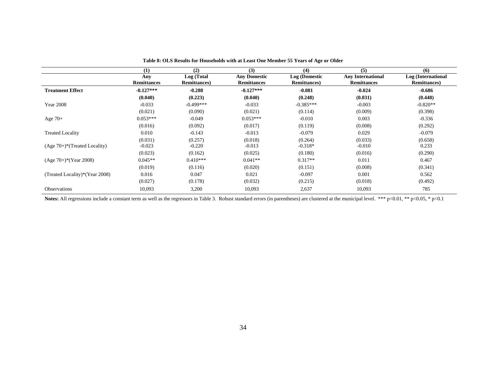|                                             | (1)                       | (2)                                | (3)                                       | (4)                                   | (5)                                            | (6)                                        |
|---------------------------------------------|---------------------------|------------------------------------|-------------------------------------------|---------------------------------------|------------------------------------------------|--------------------------------------------|
|                                             | Any<br><b>Remittances</b> | Log (Total<br><b>Remittances</b> ) | <b>Any Domestic</b><br><b>Remittances</b> | Log (Domestic<br><b>Remittances</b> ) | <b>Any International</b><br><b>Remittances</b> | Log (International<br><b>Remittances</b> ) |
| <b>Treatment Effect</b>                     | $-0.127***$               | $-0.288$                           | $-0.127***$                               | $-0.081$                              | $-0.024$                                       | $-0.686$                                   |
|                                             | (0.040)                   | (0.223)                            | (0.040)                                   | (0.248)                               | (0.031)                                        | (0.448)                                    |
| <b>Year 2008</b>                            | $-0.033$                  | $-0.499***$                        | $-0.033$                                  | $-0.385***$                           | $-0.003$                                       | $-0.820**$                                 |
|                                             | (0.021)                   | (0.090)                            | (0.021)                                   | (0.114)                               | (0.009)                                        | (0.398)                                    |
| Age $70+$                                   | $0.053***$                | $-0.049$                           | $0.053***$                                | $-0.010$                              | 0.003                                          | $-0.336$                                   |
|                                             | (0.016)                   | (0.092)                            | (0.017)                                   | (0.119)                               | (0.008)                                        | (0.292)                                    |
| <b>Treated Locality</b>                     | 0.010                     | $-0.143$                           | $-0.013$                                  | $-0.079$                              | 0.029                                          | $-0.079$                                   |
|                                             | (0.031)                   | (0.257)                            | (0.018)                                   | (0.264)                               | (0.033)                                        | (0.658)                                    |
| $(Age 70+)$ <sup>*</sup> (Treated Locality) | $-0.023$                  | $-0.220$                           | $-0.013$                                  | $-0.318*$                             | $-0.010$                                       | 0.233                                      |
|                                             | (0.023)                   | (0.162)                            | (0.025)                                   | (0.180)                               | (0.016)                                        | (0.290)                                    |
| $(Age 70+)$ <sup>*</sup> $(Year 2008)$      | $0.045**$                 | $0.410***$                         | $0.041**$                                 | $0.317**$                             | 0.011                                          | 0.467                                      |
|                                             | (0.019)                   | (0.116)                            | (0.020)                                   | (0.151)                               | (0.008)                                        | (0.341)                                    |
| (Treated Locality)*(Year 2008)              | 0.016                     | 0.047                              | 0.021                                     | $-0.097$                              | 0.001                                          | 0.562                                      |
|                                             | (0.027)                   | (0.178)                            | (0.032)                                   | (0.215)                               | (0.018)                                        | (0.492)                                    |
| <b>Observations</b>                         | 10,093                    | 3,200                              | 10,093                                    | 2,637                                 | 10,093                                         | 785                                        |

**Table 8: OLS Results for Households with at Least One Member 55 Years of Age or Older** 

Notes: All regressions include a constant term as well as the regressors in Table 3. Robust standard errors (in parentheses) are clustered at the municipal level. \*\*\* p<0.01, \*\* p<0.05, \* p<0.1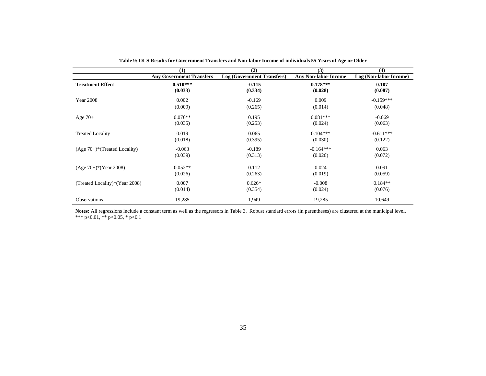|                                             | (1)                             | (2)                               | (3)                         | (4)                    |
|---------------------------------------------|---------------------------------|-----------------------------------|-----------------------------|------------------------|
|                                             | <b>Any Government Transfers</b> | <b>Log (Government Transfers)</b> | <b>Any Non-labor Income</b> | Log (Non-labor Income) |
| <b>Treatment Effect</b>                     | $0.510***$                      | $-0.115$                          | $0.178***$                  | 0.107                  |
|                                             | (0.033)                         | (0.334)                           | (0.028)                     | (0.087)                |
| <b>Year 2008</b>                            | 0.002                           | $-0.169$                          | 0.009                       | $-0.159***$            |
|                                             | (0.009)                         | (0.265)                           | (0.014)                     | (0.048)                |
| Age $70+$                                   | $0.076**$                       | 0.195                             | $0.081***$                  | $-0.069$               |
|                                             | (0.035)                         | (0.253)                           | (0.024)                     | (0.063)                |
| <b>Treated Locality</b>                     | 0.019                           | 0.065                             | $0.104***$                  | $-0.611***$            |
|                                             | (0.018)                         | (0.395)                           | (0.030)                     | (0.122)                |
| $(Age 70+)$ <sup>*</sup> (Treated Locality) | $-0.063$                        | $-0.189$                          | $-0.164***$                 | 0.063                  |
|                                             | (0.039)                         | (0.313)                           | (0.026)                     | (0.072)                |
| $(Age 70+)*(Year 2008)$                     | $0.052**$                       | 0.112                             | 0.024                       | 0.091                  |
|                                             | (0.026)                         | (0.263)                           | (0.019)                     | (0.059)                |
| (Treated Locality)*(Year 2008)              | 0.007                           | $0.626*$                          | $-0.008$                    | $0.184**$              |
|                                             | (0.014)                         | (0.354)                           | (0.024)                     | (0.076)                |
| Observations                                | 19,285                          | 1,949                             | 19,285                      | 10,649                 |

**Table 9: OLS Results for Government Transfers and Non-labor Income of individuals 55 Years of Age or Older** 

**Notes:** All regressions include a constant term as well as the regressors in Table 3. Robust standard errors (in parentheses) are clustered at the municipal level. \*\*\* p<0.01, \*\* p<0.05, \* p<0.1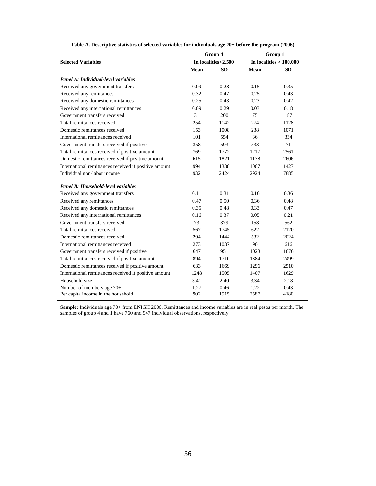|                                                       |      | Group 4             | Group 1 |                           |  |
|-------------------------------------------------------|------|---------------------|---------|---------------------------|--|
| <b>Selected Variables</b>                             |      | In localities<2,500 |         | In localities $> 100,000$ |  |
|                                                       | Mean | <b>SD</b>           | Mean    | <b>SD</b>                 |  |
| Panel A: Individual-level variables                   |      |                     |         |                           |  |
| Received any government transfers                     | 0.09 | 0.28                | 0.15    | 0.35                      |  |
| Received any remittances                              | 0.32 | 0.47                | 0.25    | 0.43                      |  |
| Received any domestic remittances                     | 0.25 | 0.43                | 0.23    | 0.42                      |  |
| Received any international remittances                | 0.09 | 0.29                | 0.03    | 0.18                      |  |
| Government transfers received                         | 31   | 200                 | 75      | 187                       |  |
| Total remittances received                            | 254  | 1142                | 274     | 1128                      |  |
| Domestic remittances received                         | 153  | 1008                | 238     | 1071                      |  |
| International remittances received                    | 101  | 554                 | 36      | 334                       |  |
| Government transfers received if positive             | 358  | 593                 | 533     | 71                        |  |
| Total remittances received if positive amount         | 769  | 1772                | 1217    | 2561                      |  |
| Domestic remittances received if positive amount      | 615  | 1821                | 1178    | 2606                      |  |
| International remittances received if positive amount | 994  | 1338                | 1067    | 1427                      |  |
| Individual non-labor income                           | 932  | 2424                | 2924    | 7885                      |  |
| <b>Panel B: Household-level variables</b>             |      |                     |         |                           |  |
| Received any government transfers                     | 0.11 | 0.31                | 0.16    | 0.36                      |  |
| Received any remittances                              | 0.47 | 0.50                | 0.36    | 0.48                      |  |
| Received any domestic remittances                     | 0.35 | 0.48                | 0.33    | 0.47                      |  |
| Received any international remittances                | 0.16 | 0.37                | 0.05    | 0.21                      |  |
| Government transfers received                         | 73   | 379                 | 158     | 562                       |  |
| Total remittances received                            | 567  | 1745                | 622     | 2120                      |  |
| Domestic remittances received                         | 294  | 1444                | 532     | 2024                      |  |
| International remittances received                    | 273  | 1037                | 90      | 616                       |  |
| Government transfers received if positive             | 647  | 951                 | 1023    | 1076                      |  |
| Total remittances received if positive amount         | 894  | 1710                | 1384    | 2499                      |  |
| Domestic remittances received if positive amount      | 633  | 1669                | 1296    | 2510                      |  |
| International remittances received if positive amount | 1248 | 1505                | 1407    | 1629                      |  |
| Household size                                        | 3.41 | 2.40                | 3.34    | 2.18                      |  |
| Number of members age 70+                             | 1.27 | 0.46                | 1.22    | 0.43                      |  |
| Per capita income in the household                    | 902  | 1515                | 2587    | 4180                      |  |

**Table A. Descriptive statistics of selected variables for individuals age 70+ before the program (2006)** 

**Sample:** Individuals age 70+ from ENIGH 2006. Remittances and income variables are in real pesos per month. The samples of group 4 and 1 have 760 and 947 individual observations, respectively.